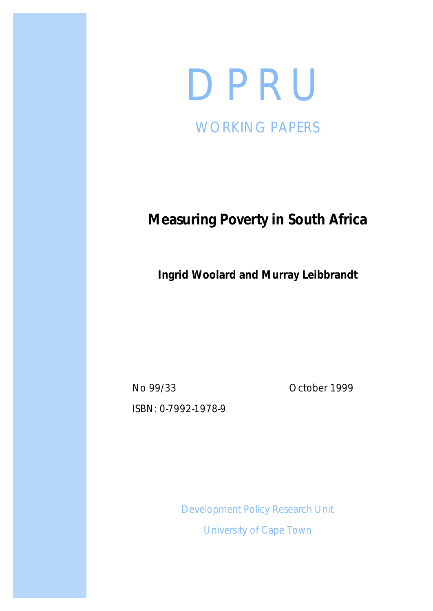# DPRU WORKING PAPERS

# **Measuring Poverty in South Africa**

# **Ingrid Woolard and Murray Leibbrandt**

No 99/33 October 1999

ISBN: 0-7992-1978-9

Development Policy Research Unit University of Cape Town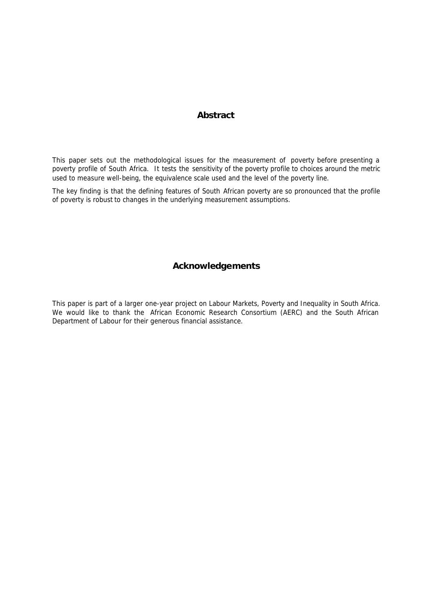# **Abstract**

This paper sets out the methodological issues for the measurement of poverty before presenting a poverty profile of South Africa. It tests the sensitivity of the poverty profile to choices around the metric used to measure well-being, the equivalence scale used and the level of the poverty line.

The key finding is that the defining features of South African poverty are so pronounced that the profile of poverty is robust to changes in the underlying measurement assumptions.

# **Acknowledgements**

This paper is part of a larger one-year project on Labour Markets, Poverty and Inequality in South Africa. We would like to thank the African Economic Research Consortium (AERC) and the South African Department of Labour for their generous financial assistance.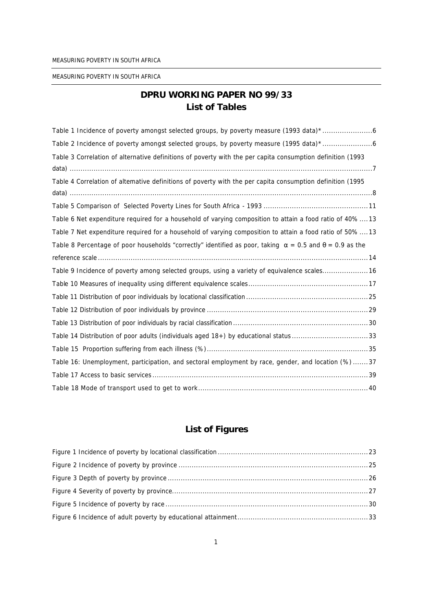MEASURING POVERTY IN SOUTH AFRICA

# **DPRU WORKING PAPER NO 99/33 List of Tables**

| Table 1 Incidence of poverty amongst selected groups, by poverty measure (1993 data)*6                                |
|-----------------------------------------------------------------------------------------------------------------------|
| Table 2 Incidence of poverty amongst selected groups, by poverty measure (1995 data)*6                                |
| Table 3 Correlation of alternative definitions of poverty with the per capita consumption definition (1993            |
|                                                                                                                       |
| Table 4 Correlation of alternative definitions of poverty with the per capita consumption definition (1995            |
|                                                                                                                       |
|                                                                                                                       |
| Table 6 Net expenditure required for a household of varying composition to attain a food ratio of 40%13               |
| Table 7 Net expenditure required for a household of varying composition to attain a food ratio of 50%13               |
| Table 8 Percentage of poor households "correctly" identified as poor, taking $\alpha = 0.5$ and $\theta = 0.9$ as the |
|                                                                                                                       |
| Table 9 Incidence of poverty among selected groups, using a variety of equivalence scales16                           |
|                                                                                                                       |
|                                                                                                                       |
|                                                                                                                       |
|                                                                                                                       |
| Table 14 Distribution of poor adults (individuals aged 18+) by educational status 33                                  |
|                                                                                                                       |
| Table 16: Unemployment, participation, and sectoral employment by race, gender, and location (%) 37                   |
|                                                                                                                       |
|                                                                                                                       |

# **List of Figures**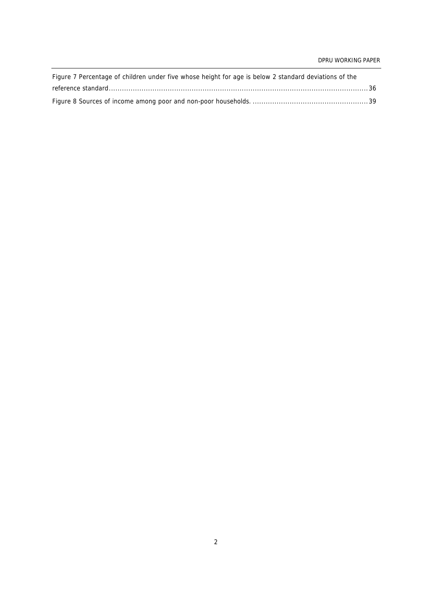| Figure 7 Percentage of children under five whose height for age is below 2 standard deviations of the |  |
|-------------------------------------------------------------------------------------------------------|--|
|                                                                                                       |  |
|                                                                                                       |  |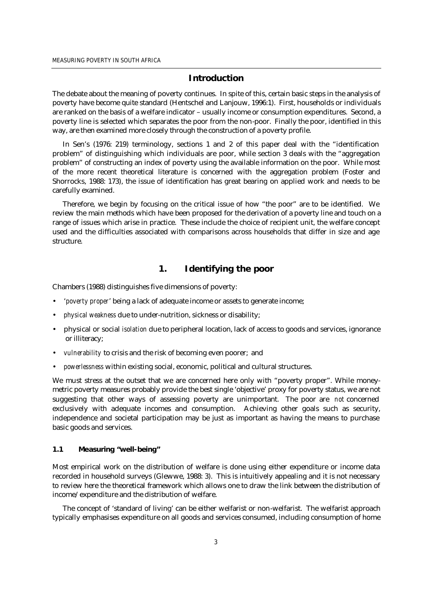# **Introduction**

The debate about the meaning of poverty continues. In spite of this, certain basic steps in the analysis of poverty have become quite standard (Hentschel and Lanjouw, 1996:1). First, households or individuals are ranked on the basis of a welfare indicator – usually income or consumption expenditures. Second, a poverty line is selected which separates the poor from the non-poor. Finally the poor, identified in this way, are then examined more closely through the construction of a poverty profile.

In Sen's (1976: 219) terminology, sections 1 and 2 of this paper deal with the "identification problem" of distinguishing which individuals are poor, while section 3 deals with the "aggregation problem" of constructing an index of poverty using the available information on the poor. While most of the more recent theoretical literature is concerned with the aggregation problem (Foster and Shorrocks, 1988: 173), the issue of identification has great bearing on applied work and needs to be carefully examined.

Therefore, we begin by focusing on the critical issue of how "the poor" are to be identified. We review the main methods which have been proposed for the derivation of a poverty line and touch on a range of issues which arise in practice. These include the choice of recipient unit, the welfare concept used and the difficulties associated with comparisons across households that differ in size and age structure.

# **1. Identifying the poor**

Chambers (1988) distinguishes five dimensions of poverty:

- '*poverty proper*' being a lack of adequate income or assets to generate income;
- *physical weakness* due to under-nutrition, sickness or disability;
- physical or social *isolation* due to peripheral location, lack of access to goods and services, ignorance or illiteracy;
- *vulnerability* to crisis and the risk of becoming even poorer; and
- *powerlessness* within existing social, economic, political and cultural structures.

We must stress at the outset that we are concerned here only with "poverty proper". While moneymetric poverty measures probably provide the best single 'objective' proxy for poverty status, we are not suggesting that other ways of assessing poverty are unimportant. The poor are *not* concerned exclusively with adequate incomes and consumption. Achieving other goals such as security, independence and societal participation may be just as important as having the means to purchase basic goods and services.

### **1.1 Measuring "well-being"**

Most empirical work on the distribution of welfare is done using either expenditure or income data recorded in household surveys (Glewwe, 1988: 3). This is intuitively appealing and it is not necessary to review here the theoretical framework which allows one to draw the link between the distribution of income/expenditure and the distribution of welfare.

The concept of 'standard of living' can be either welfarist or non-welfarist. The welfarist approach typically emphasises expenditure on all goods and services consumed, including consumption of home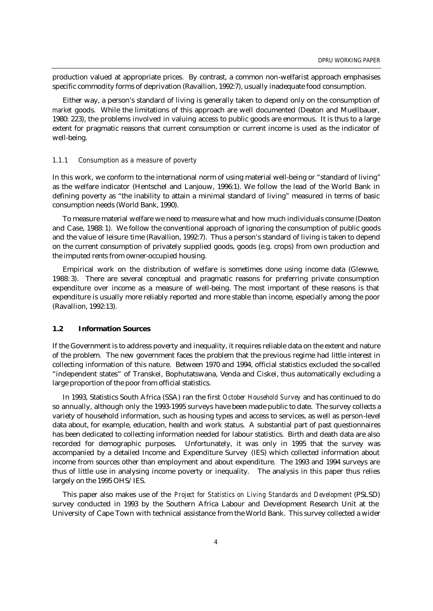production valued at appropriate prices. By contrast, a common non-welfarist approach emphasises specific commodity forms of deprivation (Ravallion, 1992:7), usually inadequate food consumption.

Either way, a person's standard of living is generally taken to depend only on the consumption of *market* goods. While the limitations of this approach are well documented (Deaton and Muellbauer, 1980: 223), the problems involved in valuing access to public goods are enormous. It is thus to a large extent for pragmatic reasons that current consumption or current income is used as the indicator of well-being.

#### *1.1.1 Consumption as a measure of poverty*

In this work, we conform to the international norm of using material well-being or "standard of living" as the welfare indicator (Hentschel and Lanjouw, 1996:1). We follow the lead of the World Bank in defining poverty as "the inability to attain a minimal standard of living" measured in terms of basic consumption needs (World Bank, 1990).

To measure material welfare we need to measure what and how much individuals consume (Deaton and Case, 1988: 1). We follow the conventional approach of ignoring the consumption of public goods and the value of leisure time (Ravallion, 1992:7). Thus a person's standard of living is taken to depend on the current consumption of privately supplied goods, goods (e.g. crops) from own production and the imputed rents from owner-occupied housing.

Empirical work on the distribution of welfare is sometimes done using income data (Glewwe, 1988: 3). There are several conceptual and pragmatic reasons for preferring private consumption expenditure over income as a measure of well-being. The most important of these reasons is that expenditure is usually more reliably reported and more stable than income, especially among the poor (Ravallion, 1992:13).

# **1.2 Information Sources**

If the Government is to address poverty and inequality, it requires reliable data on the extent and nature of the problem. The new government faces the problem that the previous regime had little interest in collecting information of this nature. Between 1970 and 1994, official statistics excluded the so-called "independent states" of Transkei, Bophutatswana, Venda and Ciskei, thus automatically excluding a large proportion of the poor from official statistics.

In 1993, Statistics South Africa (SSA) ran the first *October Household Survey* and has continued to do so annually, although only the 1993-1995 surveys have been made public to date. The survey collects a variety of household information, such as housing types and access to services, as well as person-level data about, for example, education, health and work status. A substantial part of past questionnaires has been dedicated to collecting information needed for labour statistics. Birth and death data are also recorded for demographic purposes. Unfortunately, it was only in 1995 that the survey was accompanied by a detailed Income and Expenditure Survey (IES) which collected information about income from sources other than employment and about expenditure. The 1993 and 1994 surveys are thus of little use in analysing income poverty or inequality. The analysis in this paper thus relies largely on the 1995 OHS/IES.

This paper also makes use of the *Project for Statistics on Living Standards and Development* (PSLSD) survey conducted in 1993 by the Southern Africa Labour and Development Research Unit at the University of Cape Town with technical assistance from the World Bank. This survey collected a wider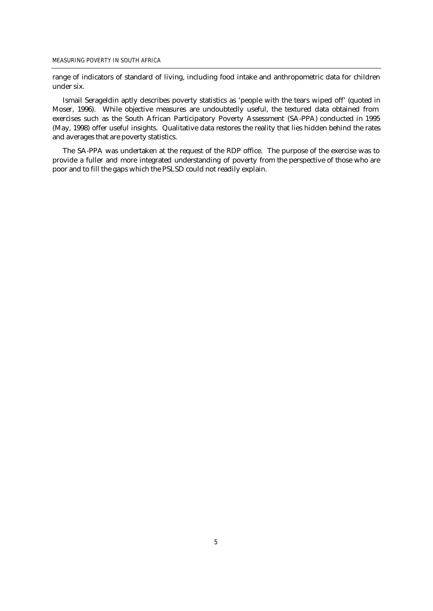range of indicators of standard of living, including food intake and anthropometric data for children under six.

Ismail Serageldin aptly describes poverty statistics as 'people with the tears wiped off' (quoted in Moser, 1996). While objective measures are undoubtedly useful, the textured data obtained from exercises such as the South African Participatory Poverty Assessment (SA-PPA) conducted in 1995 (May, 1998) offer useful insights. Qualitative data restores the reality that lies hidden behind the rates and averages that are poverty statistics.

The SA-PPA was undertaken at the request of the RDP office. The purpose of the exercise was to provide a fuller and more integrated understanding of poverty from the perspective of those who are poor and to fill the gaps which the PSLSD could not readily explain.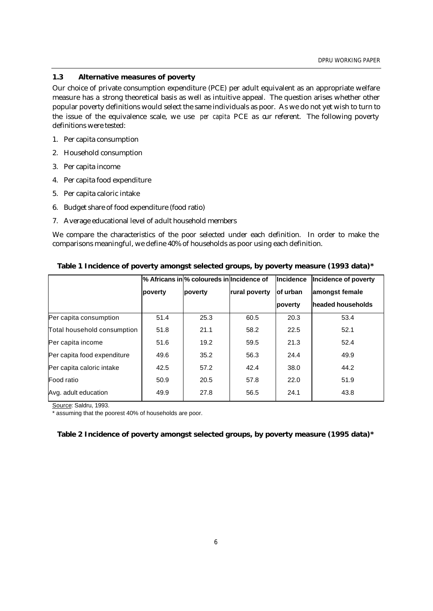# **1.3 Alternative measures of poverty**

Our choice of private consumption expenditure (PCE) per adult equivalent as an appropriate welfare measure has a strong theoretical basis as well as intuitive appeal. The question arises whether other popular poverty definitions would select the same individuals as poor. As we do not yet wish to turn to the issue of the equivalence scale, we use *per capita* PCE as our referent. The following poverty definitions were tested:

- 1. Per capita consumption
- 2. Household consumption
- 3. Per capita income
- 4. Per capita food expenditure
- 5. Per capita caloric intake
- 6. Budget share of food expenditure (food ratio)
- 7. Average educational level of adult household members

We compare the characteristics of the poor selected under each definition. In order to make the comparisons meaningful, we define 40% of households as poor using each definition.

|                             |         | % Africans in % coloureds in Incidence of |               | <b>Incidence</b> | Incidence of poverty |
|-----------------------------|---------|-------------------------------------------|---------------|------------------|----------------------|
|                             | poverty | poverty                                   | rural poverty | of urban         | amongst female       |
|                             |         |                                           |               | poverty          | headed households    |
| Per capita consumption      | 51.4    | 25.3                                      | 60.5          | 20.3             | 53.4                 |
| Total household consumption | 51.8    | 21.1                                      | 58.2          | 22.5             | 52.1                 |
| Per capita income           | 51.6    | 19.2                                      | 59.5          | 21.3             | 52.4                 |
| Per capita food expenditure | 49.6    | 35.2                                      | 56.3          | 24.4             | 49.9                 |
| Per capita caloric intake   | 42.5    | 57.2                                      | 42.4          | 38.0             | 44.2                 |
| Food ratio                  | 50.9    | 20.5                                      | 57.8          | 22.0             | 51.9                 |
| Avg. adult education        | 49.9    | 27.8                                      | 56.5          | 24.1             | 43.8                 |

**Table 1 Incidence of poverty amongst selected groups, by poverty measure (1993 data)\***

Source: Saldru, 1993.

\* assuming that the poorest 40% of households are poor.

**Table 2 Incidence of poverty amongst selected groups, by poverty measure (1995 data)\***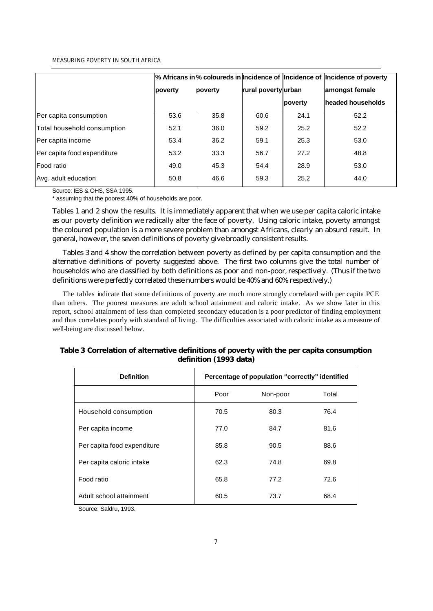#### MEASURING POVERTY IN SOUTH AFRICA

|                             |                 |         |                     |         | % Africans in% coloureds in incidence of lincidence of lincidence of poverty |
|-----------------------------|-----------------|---------|---------------------|---------|------------------------------------------------------------------------------|
|                             | <b>lpoverty</b> | poverty | rural poverty urban |         | amongst female                                                               |
|                             |                 |         |                     | poverty | headed households                                                            |
| Per capita consumption      | 53.6            | 35.8    | 60.6                | 24.1    | 52.2                                                                         |
| Total household consumption | 52.1            | 36.0    | 59.2                | 25.2    | 52.2                                                                         |
| Per capita income           | 53.4            | 36.2    | 59.1                | 25.3    | 53.0                                                                         |
| Per capita food expenditure | 53.2            | 33.3    | 56.7                | 27.2    | 48.8                                                                         |
| <b>Food</b> ratio           | 49.0            | 45.3    | 54.4                | 28.9    | 53.0                                                                         |
| Avg. adult education        | 50.8            | 46.6    | 59.3                | 25.2    | 44.0                                                                         |

Source: IES & OHS, SSA 1995.

\* assuming that the poorest 40% of households are poor.

Tables 1 and 2 show the results. It is immediately apparent that when we use per capita caloric intake as our poverty definition we radically alter the face of poverty. Using caloric intake, poverty amongst the coloured population is a more severe problem than amongst Africans, clearly an absurd result. In general, however, the seven definitions of poverty give broadly consistent results.

Tables 3 and 4 show the correlation between poverty as defined by per capita consumption and the alternative definitions of poverty suggested above. The first two columns give the total number of households who are classified by both definitions as poor and non-poor, respectively. (Thus if the two definitions were perfectly correlated these numbers would be 40% and 60% respectively.)

The tables indicate that some definitions of poverty are much more strongly correlated with per capita PCE than others. The poorest measures are adult school attainment and caloric intake. As we show later in this report, school attainment of less than completed secondary education is a poor predictor of finding employment and thus correlates poorly with standard of living. The difficulties associated with caloric intake as a measure of well-being are discussed below.

| <b>Definition</b>           | Percentage of population "correctly" identified |          |       |  |
|-----------------------------|-------------------------------------------------|----------|-------|--|
|                             | Poor                                            | Non-poor | Total |  |
| Household consumption       | 70.5                                            | 80.3     | 76.4  |  |
| Per capita income           | 77.0                                            | 84.7     | 81.6  |  |
| Per capita food expenditure | 85.8                                            | 90.5     | 88.6  |  |
| Per capita caloric intake   | 62.3                                            | 74.8     | 69.8  |  |
| Food ratio                  | 65.8                                            | 77.2     | 72.6  |  |
| Adult school attainment     | 60.5                                            | 73.7     | 68.4  |  |

# **Table 3 Correlation of alternative definitions of poverty with the per capita consumption definition (1993 data)**

Source: Saldru, 1993.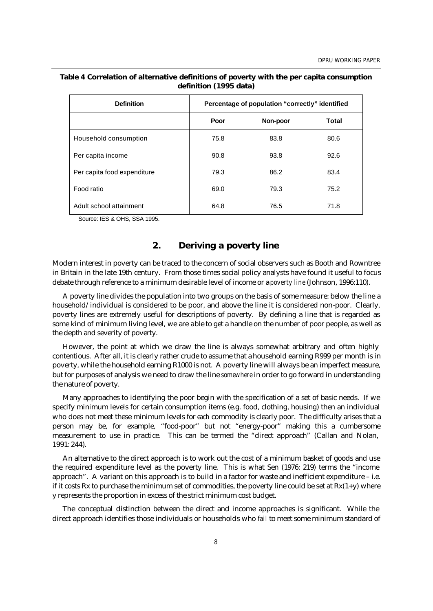| <b>Definition</b>           | Percentage of population "correctly" identified |          |              |  |
|-----------------------------|-------------------------------------------------|----------|--------------|--|
|                             | Poor                                            | Non-poor | <b>Total</b> |  |
| Household consumption       | 75.8                                            | 83.8     | 80.6         |  |
| Per capita income           | 90.8                                            | 93.8     | 92.6         |  |
| Per capita food expenditure | 79.3                                            | 86.2     | 83.4         |  |
| Food ratio                  | 69.0                                            | 79.3     | 75.2         |  |
| Adult school attainment     | 64.8                                            | 76.5     | 71.8         |  |

# **Table 4 Correlation of alternative definitions of poverty with the per capita consumption definition (1995 data)**

Source: IES & OHS, SSA 1995.

# **2. Deriving a poverty line**

Modern interest in poverty can be traced to the concern of social observers such as Booth and Rowntree in Britain in the late 19th century. From those times social policy analysts have found it useful to focus debate through reference to a minimum desirable level of income or a *poverty line* (Johnson, 1996:110).

A poverty line divides the population into two groups on the basis of some measure: below the line a household/individual is considered to be poor, and above the line it is considered non-poor. Clearly, poverty lines are extremely useful for descriptions of poverty. By defining a line that is regarded as some kind of minimum living level, we are able to get a handle on the number of poor people, as well as the depth and severity of poverty.

However, the point at which we draw the line is always somewhat arbitrary and often highly contentious. After all, it is clearly rather crude to assume that a household earning R999 per month is in poverty, while the household earning R1000 is not. A poverty line will always be an imperfect measure, but for purposes of analysis we need to draw the line *somewhere* in order to go forward in understanding the nature of poverty.

Many approaches to identifying the poor begin with the specification of a set of basic needs. If we specify minimum levels for certain consumption items (e.g. food, clothing, housing) then an individual who does not meet these minimum levels for *each* commodity is clearly poor. The difficulty arises that a person may be, for example, "food-poor" but not "energy-poor" making this a cumbersome measurement to use in practice. This can be termed the "direct approach" (Callan and Nolan, 1991: 244).

An alternative to the direct approach is to work out the cost of a minimum basket of goods and use the required expenditure level as the poverty line. This is what Sen (1976: 219) terms the "income approach". A variant on this approach is to build in a factor for waste and inefficient expenditure – i.e. if it costs Rx to purchase the minimum set of commodities, the poverty line could be set at  $Rx(1+y)$  where y represents the proportion in excess of the strict minimum cost budget.

The conceptual distinction between the direct and income approaches is significant. While the direct approach identifies those individuals or households who *fail* to meet some minimum standard of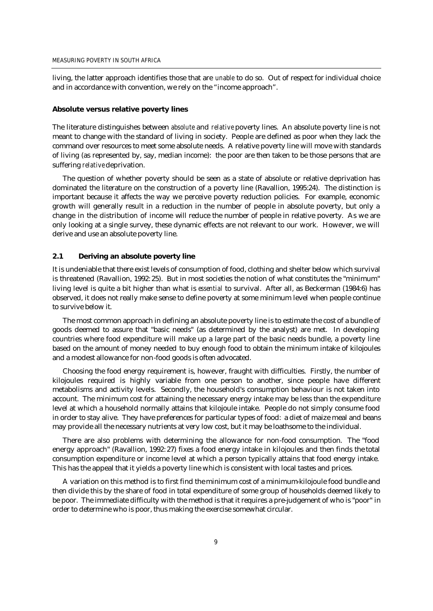living, the latter approach identifies those that are *unable* to do so. Out of respect for individual choice and in accordance with convention, we rely on the "income approach".

#### **Absolute versus relative poverty lines**

The literature distinguishes between *absolute* and *relative* poverty lines. An absolute poverty line is not meant to change with the standard of living in society. People are defined as poor when they lack the command over resources to meet some absolute needs. A relative poverty line will move with standards of living (as represented by, say, median income): the poor are then taken to be those persons that are suffering *relative* deprivation.

The question of whether poverty should be seen as a state of absolute or relative deprivation has dominated the literature on the construction of a poverty line (Ravallion, 1995:24). The distinction is important because it affects the way we perceive poverty reduction policies. For example, economic growth will generally result in a reduction in the number of people in absolute poverty, but only a change in the distribution of income will reduce the number of people in relative poverty. As we are only looking at a single survey, these dynamic effects are not relevant to our work. However, we will derive and use an absolute poverty line.

#### **2.1 Deriving an absolute poverty line**

It is undeniable that there exist levels of consumption of food, clothing and shelter below which survival is threatened (Ravallion, 1992: 25). But in most societies the notion of what constitutes the "minimum" living level is quite a bit higher than what is *essential* to survival. After all, as Beckerman (1984:6) has observed, it does not really make sense to define poverty at some minimum level when people continue to survive below it.

The most common approach in defining an absolute poverty line is to estimate the cost of a bundle of goods deemed to assure that "basic needs" (as determined by the analyst) are met. In developing countries where food expenditure will make up a large part of the basic needs bundle, a poverty line based on the amount of money needed to buy enough food to obtain the minimum intake of kilojoules and a modest allowance for non-food goods is often advocated.

Choosing the food energy requirement is, however, fraught with difficulties. Firstly, the number of kilojoules required is highly variable from one person to another, since people have different metabolisms and activity levels. Secondly, the household's consumption behaviour is not taken into account. The minimum cost for attaining the necessary energy intake may be less than the expenditure level at which a household normally attains that kilojoule intake. People do not simply consume food in order to stay alive. They have preferences for particular types of food: a diet of maize meal and beans may provide all the necessary nutrients at very low cost, but it may be loathsome to the individual.

There are also problems with determining the allowance for non-food consumption. The "food energy approach" (Ravallion, 1992: 27) fixes a food energy intake in kilojoules and then finds the total consumption expenditure or income level at which a person typically attains that food energy intake. This has the appeal that it yields a poverty line which is consistent with local tastes and prices.

A variation on this method is to first find the minimum cost of a minimum-kilojoule food bundle and then divide this by the share of food in total expenditure of some group of households deemed likely to be poor. The immediate difficulty with the method is that it requires a pre-judgement of who is "poor" in order to determine who is poor, thus making the exercise somewhat circular.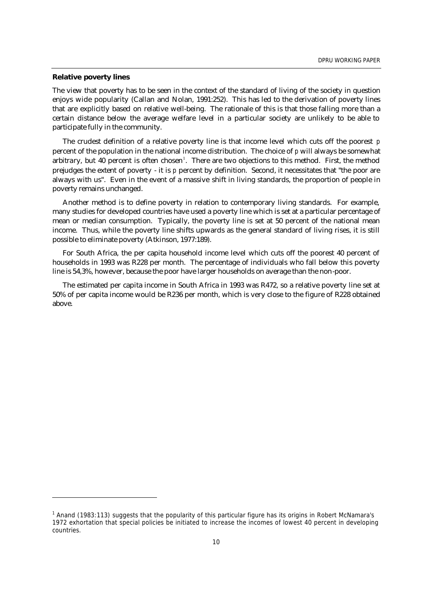#### **Relative poverty lines**

j

The view that poverty has to be seen in the context of the standard of living of the society in question enjoys wide popularity (Callan and Nolan, 1991:252). This has led to the derivation of poverty lines that are explicitly based on relative well-being. The rationale of this is that those falling more than a certain distance below the average welfare level in a particular society are unlikely to be able to participate fully in the community.

The crudest definition of a relative poverty line is that income level which cuts off the poorest *p* percent of the population in the national income distribution. The choice of *p* will always be somewhat arbitrary, but 40 percent is often chosen<sup>1</sup>. There are two objections to this method. First, the method prejudges the extent of poverty - it is *p* percent by definition. Second, it necessitates that "the poor are always with us". Even in the event of a massive shift in living standards, the proportion of people in poverty remains unchanged.

Another method is to define poverty in relation to contemporary living standards. For example, many studies for developed countries have used a poverty line which is set at a particular percentage of mean or median consumption. Typically, the poverty line is set at 50 percent of the national mean income. Thus, while the poverty line shifts upwards as the general standard of living rises, it is still possible to eliminate poverty (Atkinson, 1977:189).

For South Africa, the per capita household income level which cuts off the poorest 40 percent of households in 1993 was R228 per month. The percentage of individuals who fall below this poverty line is 54,3%, however, because the poor have larger households on average than the non-poor.

The estimated per capita income in South Africa in 1993 was R472, so a relative poverty line set at 50% of per capita income would be R236 per month, which is very close to the figure of R228 obtained above.

<sup>&</sup>lt;sup>1</sup> Anand (1983:113) suggests that the popularity of this particular figure has its origins in Robert McNamara's 1972 exhortation that special policies be initiated to increase the incomes of lowest 40 percent in developing countries.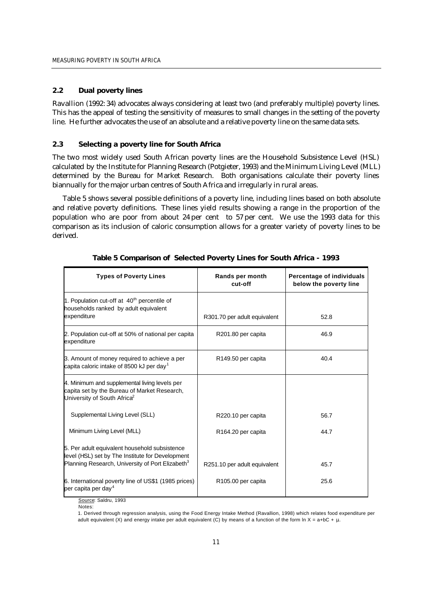# **2.2 Dual poverty lines**

Ravallion (1992: 34) advocates always considering at least two (and preferably multiple) poverty lines. This has the appeal of testing the sensitivity of measures to small changes in the setting of the poverty line. He further advocates the use of an absolute and a relative poverty line on the same data sets.

# **2.3 Selecting a poverty line for South Africa**

The two most widely used South African poverty lines are the Household Subsistence Level (HSL) calculated by the Institute for Planning Research (Potgieter, 1993) and the Minimum Living Level (MLL) determined by the Bureau for Market Research. Both organisations calculate their poverty lines biannually for the major urban centres of South Africa and irregularly in rural areas.

Table 5 shows several possible definitions of a poverty line, including lines based on both absolute and relative poverty definitions. These lines yield results showing a range in the proportion of the population who are poor from about 24 per cent to 57 per cent. We use the 1993 data for this comparison as its inclusion of caloric consumption allows for a greater variety of poverty lines to be derived.

| <b>Types of Poverty Lines</b>                                                                                                                                     | Rands per month<br>cut-off     | Percentage of individuals<br>below the poverty line |
|-------------------------------------------------------------------------------------------------------------------------------------------------------------------|--------------------------------|-----------------------------------------------------|
| 1. Population cut-off at 40 <sup>th</sup> percentile of<br>households ranked by adult equivalent<br>expenditure                                                   | R301.70 per adult equivalent   | 52.8                                                |
| 2. Population cut-off at 50% of national per capita<br>expenditure                                                                                                | R201.80 per capita             | 46.9                                                |
| 3. Amount of money required to achieve a per<br>capita caloric intake of 8500 kJ per day <sup>1</sup>                                                             | R <sub>149.50</sub> per capita | 40.4                                                |
| 4. Minimum and supplemental living levels per<br>capita set by the Bureau of Market Research,<br>University of South Africa <sup>2</sup>                          |                                |                                                     |
| Supplemental Living Level (SLL)                                                                                                                                   | R220.10 per capita             | 56.7                                                |
| Minimum Living Level (MLL)                                                                                                                                        | R <sub>164.20</sub> per capita | 44.7                                                |
| 5. Per adult equivalent household subsistence<br>level (HSL) set by The Institute for Development<br>Planning Research, University of Port Elizabeth <sup>3</sup> | R251.10 per adult equivalent   | 45.7                                                |
| 6. International poverty line of US\$1 (1985 prices)<br>per capita per day $^4$                                                                                   | R105.00 per capita             | 25.6                                                |

|  | Table 5 Comparison of Selected Poverty Lines for South Africa - 1993 |  |  |  |  |  |  |  |
|--|----------------------------------------------------------------------|--|--|--|--|--|--|--|
|--|----------------------------------------------------------------------|--|--|--|--|--|--|--|

Source: Saldru, 1993

Notes:

1. Derived through regression analysis, using the Food Energy Intake Method (Ravallion, 1998) which relates food expenditure per adult equivalent (X) and energy intake per adult equivalent (C) by means of a function of the form ln X = a+bC +  $\mu$ .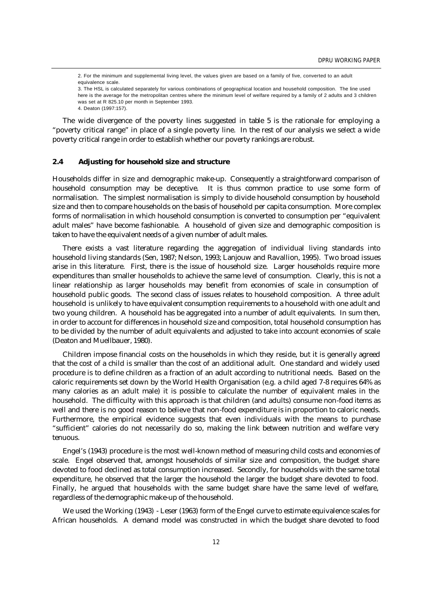The wide divergence of the poverty lines suggested in table 5 is the rationale for employing a "poverty critical range" in place of a single poverty line. In the rest of our analysis we select a wide poverty critical range in order to establish whether our poverty rankings are robust.

#### **2.4 Adjusting for household size and structure**

Households differ in size and demographic make-up. Consequently a straightforward comparison of household consumption may be deceptive. It is thus common practice to use some form of normalisation. The simplest normalisation is simply to divide household consumption by household size and then to compare households on the basis of household per capita consumption. More complex forms of normalisation in which household consumption is converted to consumption per "equivalent adult males" have become fashionable. A household of given size and demographic composition is taken to have the equivalent needs of a given number of adult males.

There exists a vast literature regarding the aggregation of individual living standards into household living standards (Sen, 1987; Nelson, 1993; Lanjouw and Ravallion, 1995). Two broad issues arise in this literature. First, there is the issue of household size. Larger households require more expenditures than smaller households to achieve the same level of consumption. Clearly, this is not a linear relationship as larger households may benefit from economies of scale in consumption of household public goods. The second class of issues relates to household composition. A three adult household is unlikely to have equivalent consumption requirements to a household with one adult and two young children. A household has be aggregated into a number of adult equivalents. In sum then, in order to account for differences in household size and composition, total household consumption has to be divided by the number of adult equivalents and adjusted to take into account economies of scale (Deaton and Muellbauer, 1980).

Children impose financial costs on the households in which they reside, but it is generally agreed that the cost of a child is smaller than the cost of an additional adult. One standard and widely used procedure is to define children as a fraction of an adult according to nutritional needs. Based on the caloric requirements set down by the World Health Organisation (e.g. a child aged 7-8 requires 64% as many calories as an adult male) it is possible to calculate the number of equivalent males in the household. The difficulty with this approach is that children (and adults) consume non-food items as well and there is no good reason to believe that non-food expenditure is in proportion to caloric needs. Furthermore, the empirical evidence suggests that even individuals with the means to purchase "sufficient" calories do not necessarily do so, making the link between nutrition and welfare very tenuous.

Engel's (1943) procedure is the most well-known method of measuring child costs and economies of scale. Engel observed that, amongst households of similar size and composition, the budget share devoted to food declined as total consumption increased. Secondly, for households with the same total expenditure, he observed that the larger the household the larger the budget share devoted to food. Finally, he argued that households with the same budget share have the same level of welfare, regardless of the demographic make-up of the household.

We used the Working (1943) - Leser (1963) form of the Engel curve to estimate equivalence scales for African households. A demand model was constructed in which the budget share devoted to food

<sup>2.</sup> For the minimum and supplemental living level, the values given are based on a family of five, converted to an adult equivalence scale.

<sup>3.</sup> The HSL is calculated separately for various combinations of geographical location and household composition. The line used here is the average for the metropolitan centres where the minimum level of welfare required by a family of 2 adults and 3 children was set at R 825.10 per month in September 1993. 4. Deaton (1997:157).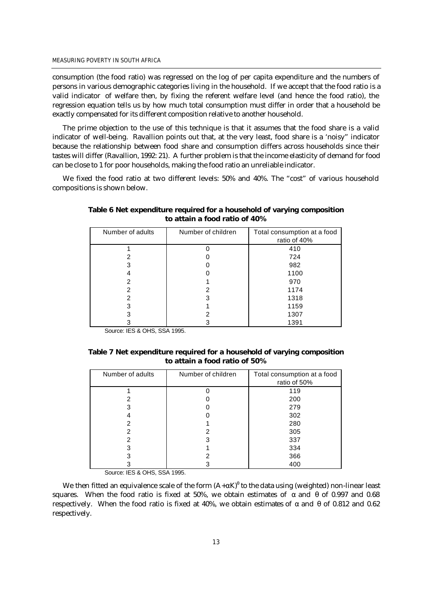consumption (the food ratio) was regressed on the log of per capita expenditure and the numbers of persons in various demographic categories living in the household. If we accept that the food ratio is a valid indicator of welfare then, by fixing the referent welfare level (and hence the food ratio), the regression equation tells us by how much total consumption must differ in order that a household be exactly compensated for its different composition relative to another household.

The prime objection to the use of this technique is that it assumes that the food share is a valid indicator of well-being. Ravallion points out that, at the very least, food share is a 'noisy" indicator because the relationship between food share and consumption differs across households since their tastes will differ (Ravallion, 1992: 21). A further problem is that the income elasticity of demand for food can be close to 1 for poor households, making the food ratio an unreliable indicator.

We fixed the food ratio at two different levels: 50% and 40%. The "cost" of various household compositions is shown below.

**Table 6 Net expenditure required for a household of varying composition to attain a food ratio of 40%**

| Number of adults | Number of children | Total consumption at a food |
|------------------|--------------------|-----------------------------|
|                  |                    | ratio of 40%                |
|                  |                    | 410                         |
|                  |                    | 724                         |
|                  |                    | 982                         |
|                  |                    | 1100                        |
| 2                |                    | 970                         |
| 2                |                    | 1174                        |
| 2                |                    | 1318                        |
| 3                |                    | 1159                        |
| З                |                    | 1307                        |
|                  |                    | 1391                        |

Source: IES & OHS, SSA 1995.

| Table 7 Net expenditure required for a household of varying composition |  |
|-------------------------------------------------------------------------|--|
| to attain a food ratio of 50%                                           |  |

| Number of adults | Number of children | Total consumption at a food<br>ratio of 50% |
|------------------|--------------------|---------------------------------------------|
|                  |                    | 119                                         |
|                  |                    | 200                                         |
|                  |                    | 279                                         |
|                  |                    | 302                                         |
|                  |                    | 280                                         |
| 2                |                    | 305                                         |
|                  |                    | 337                                         |
|                  |                    | 334                                         |
|                  |                    | 366                                         |
|                  |                    | 400                                         |

Source: IES & OHS, SSA 1995.

We then fitted an equivalence scale of the form  $(A+\alpha K)^{\theta}$  to the data using (weighted) non-linear least squares. When the food ratio is fixed at 50%, we obtain estimates of  $\alpha$  and  $\theta$  of 0.997 and 0.68 respectively. When the food ratio is fixed at 40%, we obtain estimates of  $\alpha$  and  $\theta$  of 0.812 and 0.62 respectively.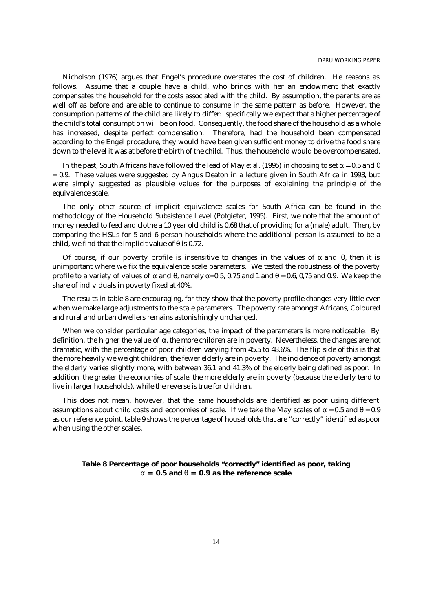Nicholson (1976) argues that Engel's procedure overstates the cost of children. He reasons as follows. Assume that a couple have a child, who brings with her an endowment that exactly compensates the household for the costs associated with the child. By assumption, the parents are as well off as before and are able to continue to consume in the same pattern as before. However, the consumption patterns of the child are likely to differ: specifically we expect that a higher percentage of the child's total consumption will be on food. Consequently, the food share of the household as a whole has increased, despite perfect compensation. Therefore, had the household been compensated according to the Engel procedure, they would have been given sufficient money to drive the food share down to the level it was at before the birth of the child. Thus, the household would be overcompensated.

In the past, South Africans have followed the lead of May *et al*. (1995) in choosing to set α = 0.5 and θ = 0.9. These values were suggested by Angus Deaton in a lecture given in South Africa in 1993, but were simply suggested as plausible values for the purposes of explaining the principle of the equivalence scale.

The only other source of implicit equivalence scales for South Africa can be found in the methodology of the Household Subsistence Level (Potgieter, 1995). First, we note that the amount of money needed to feed and clothe a 10 year old child is 0.68 that of providing for a (male) adult. Then, by comparing the HSLs for 5 and 6 person households where the additional person is assumed to be a child, we find that the implicit value of  $\theta$  is 0.72.

Of course, if our poverty profile is insensitive to changes in the values of  $\alpha$  and  $\theta$ , then it is unimportant where we fix the equivalence scale parameters. We tested the robustness of the poverty profile to a variety of values of α and θ, namely α=0.5, 0.75 and 1 and θ = 0.6, 0.75 and 0.9. We keep the share of individuals in poverty fixed at 40%.

The results in table 8 are encouraging, for they show that the poverty profile changes very little even when we make large adjustments to the scale parameters. The poverty rate amongst Africans, Coloured and rural and urban dwellers remains astonishingly unchanged.

When we consider particular age categories, the impact of the parameters is more noticeable. By definition, the higher the value of α, the more children are in poverty. Nevertheless, the changes are not dramatic, with the percentage of poor children varying from 45.5 to 48.6%. The flip side of this is that the more heavily we weight children, the fewer elderly are in poverty. The incidence of poverty amongst the elderly varies slightly more, with between 36.1 and 41.3% of the elderly being defined as poor. In addition, the greater the economies of scale, the more elderly are in poverty (because the elderly tend to live in larger households), while the reverse is true for children.

This does not mean, however, that the *same* households are identified as poor using different assumptions about child costs and economies of scale. If we take the May scales of  $\alpha = 0.5$  and  $\theta = 0.9$ as our reference point, table 9 shows the percentage of households that are "correctly" identified as poor when using the other scales.

**Table 8 Percentage of poor households "correctly" identified as poor, taking**   $a = 0.5$  and  $q = 0.9$  as the reference scale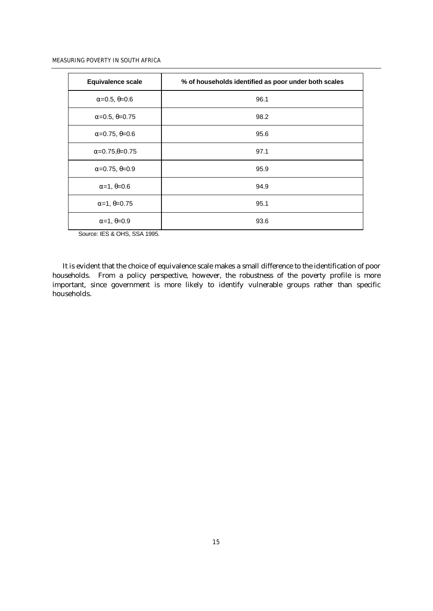| MEASURING POVERTY IN SOUTH AFRICA |  |
|-----------------------------------|--|
|-----------------------------------|--|

| Equivalence scale              | % of households identified as poor under both scales |
|--------------------------------|------------------------------------------------------|
| $\alpha$ =0.5, $\theta$ =0.6   | 96.1                                                 |
| $\alpha = 0.5, \theta = 0.75$  | 98.2                                                 |
| $\alpha = 0.75, \theta = 0.6$  | 95.6                                                 |
| $\alpha = 0.75, \theta = 0.75$ | 97.1                                                 |
| $\alpha = 0.75, \theta = 0.9$  | 95.9                                                 |
| $\alpha=1, \theta=0.6$         | 94.9                                                 |
| $\alpha=1, \theta=0.75$        | 95.1                                                 |
| $\alpha=1, \theta=0.9$         | 93.6                                                 |

Source: IES & OHS, SSA 1995.

It is evident that the choice of equivalence scale makes a small difference to the identification of poor households. From a policy perspective, however, the robustness of the poverty profile is more important, since government is more likely to identify vulnerable groups rather than specific households.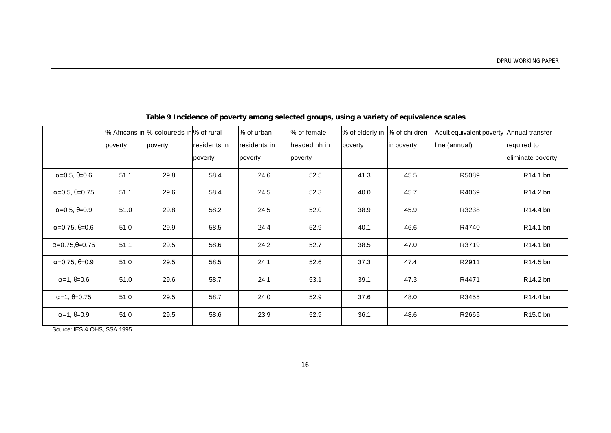|                                |         | % Africans in % coloureds in % of rural |              | % of urban   | % of female  | % of elderly in  % of children |            | Adult equivalent poverty Annual transfer |                   |
|--------------------------------|---------|-----------------------------------------|--------------|--------------|--------------|--------------------------------|------------|------------------------------------------|-------------------|
|                                | poverty | poverty                                 | residents in | residents in | headed hh in | poverty                        | in poverty | line (annual)                            | required to       |
|                                |         |                                         | poverty      | poverty      | poverty      |                                |            |                                          | eliminate poverty |
| $\alpha$ =0.5, $\theta$ =0.6   | 51.1    | 29.8                                    | 58.4         | 24.6         | 52.5         | 41.3                           | 45.5       | R5089                                    | R14.1 bn          |
| $\alpha = 0.5, \theta = 0.75$  | 51.1    | 29.6                                    | 58.4         | 24.5         | 52.3         | 40.0                           | 45.7       | R4069                                    | R14.2 bn          |
| $\alpha$ =0.5, $\theta$ =0.9   | 51.0    | 29.8                                    | 58.2         | 24.5         | 52.0         | 38.9                           | 45.9       | R3238                                    | R14.4 bn          |
| $\alpha = 0.75, \theta = 0.6$  | 51.0    | 29.9                                    | 58.5         | 24.4         | 52.9         | 40.1                           | 46.6       | R4740                                    | R14.1 bn          |
| $\alpha = 0.75, \theta = 0.75$ | 51.1    | 29.5                                    | 58.6         | 24.2         | 52.7         | 38.5                           | 47.0       | R3719                                    | R14.1 bn          |
| $\alpha = 0.75, \theta = 0.9$  | 51.0    | 29.5                                    | 58.5         | 24.1         | 52.6         | 37.3                           | 47.4       | R2911                                    | R14.5 bn          |
| $\alpha=1, \theta=0.6$         | 51.0    | 29.6                                    | 58.7         | 24.1         | 53.1         | 39.1                           | 47.3       | R4471                                    | R14.2 bn          |
| $\alpha=1, \theta=0.75$        | 51.0    | 29.5                                    | 58.7         | 24.0         | 52.9         | 37.6                           | 48.0       | R3455                                    | R14.4 bn          |
| $\alpha=1, \theta=0.9$         | 51.0    | 29.5                                    | 58.6         | 23.9         | 52.9         | 36.1                           | 48.6       | R2665                                    | R15.0 bn          |

# **Table 9 Incidence of poverty among selected groups, using a variety of equivalence scales**

Source: IES & OHS, SSA 1995.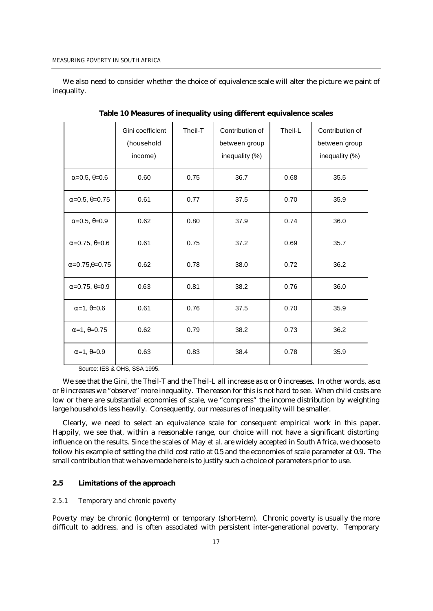We also need to consider whether the choice of equivalence scale will alter the picture we paint of inequality.

|                                | Gini coefficient<br>(household<br>income) | Theil-T | Contribution of<br>between group<br>inequality (%) | Theil-L | Contribution of<br>between group<br>inequality (%) |
|--------------------------------|-------------------------------------------|---------|----------------------------------------------------|---------|----------------------------------------------------|
| $\alpha = 0.5, \theta = 0.6$   | 0.60                                      | 0.75    | 36.7                                               | 0.68    | 35.5                                               |
| $\alpha = 0.5, \theta = 0.75$  | 0.61                                      | 0.77    | 37.5                                               | 0.70    | 35.9                                               |
| $\alpha = 0.5, \theta = 0.9$   | 0.62                                      | 0.80    | 37.9                                               | 0.74    | 36.0                                               |
| $\alpha = 0.75, \theta = 0.6$  | 0.61                                      | 0.75    | 37.2                                               | 0.69    | 35.7                                               |
| $\alpha = 0.75, \theta = 0.75$ | 0.62                                      | 0.78    | 38.0                                               | 0.72    | 36.2                                               |
| $\alpha = 0.75, \theta = 0.9$  | 0.63                                      | 0.81    | 38.2                                               | 0.76    | 36.0                                               |
| $\alpha=1, \theta=0.6$         | 0.61                                      | 0.76    | 37.5                                               | 0.70    | 35.9                                               |
| $\alpha=1, \theta=0.75$        | 0.62                                      | 0.79    | 38.2                                               | 0.73    | 36.2                                               |
| $\alpha=1, \theta=0.9$         | 0.63                                      | 0.83    | 38.4                                               | 0.78    | 35.9                                               |

**Table 10 Measures of inequality using different equivalence scales**

Source: IES & OHS, SSA 1995.

We see that the Gini, the Theil-T and the Theil-L all increase as  $\alpha$  or  $\theta$  increases. In other words, as  $\alpha$ or θ increases we "observe" more inequality. The reason for this is not hard to see. When child costs are low or there are substantial economies of scale, we "compress" the income distribution by weighting large households less heavily. Consequently, our measures of inequality will be smaller.

Clearly, we need to select an equivalence scale for consequent empirical work in this paper. Happily, we see that, within a reasonable range, our choice will not have a significant distorting influence on the results. Since the scales of May *et al*. are widely accepted in South Africa, we choose to follow his example of setting the child cost ratio at 0.5 and the economies of scale parameter at 0.9**.** The small contribution that we have made here is to justify such a choice of parameters prior to use.

# **2.5 Limitations of the approach**

# *2.5.1 Temporary and chronic poverty*

Poverty may be chronic (long-term) or temporary (short-term). Chronic poverty is usually the more difficult to address, and is often associated with persistent inter-generational poverty. Temporary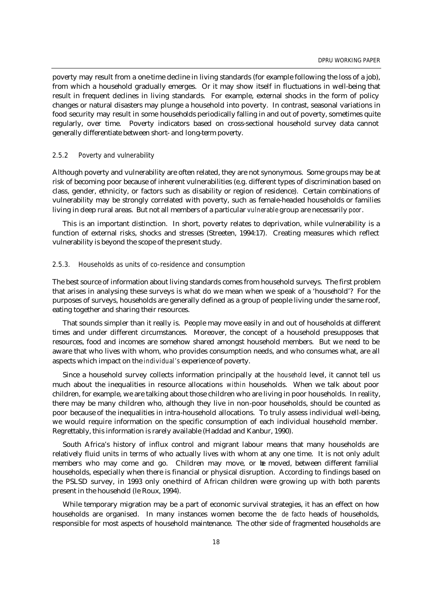poverty may result from a one-time decline in living standards (for example following the loss of a job), from which a household gradually emerges. Or it may show itself in fluctuations in well-being that result in frequent declines in living standards. For example, external shocks in the form of policy changes or natural disasters may plunge a household into poverty. In contrast, seasonal variations in food security may result in some households periodically falling in and out of poverty, sometimes quite regularly, over time. Poverty indicators based on cross-sectional household survey data cannot generally differentiate between short- and long-term poverty.

#### *2.5.2 Poverty and vulnerability*

Although poverty and vulnerability are often related, they are not synonymous. Some groups may be at risk of becoming poor because of inherent vulnerabilities (e.g. different types of discrimination based on class, gender, ethnicity, or factors such as disability or region of residence). Certain combinations of vulnerability may be strongly correlated with poverty, such as female-headed households or families living in deep rural areas. But not all members of a particular *vulnerable* group are necessarily *poor*.

This is an important distinction. In short, poverty relates to deprivation, while vulnerability is a function of external risks, shocks and stresses (Streeten, 1994:17). Creating measures which reflect vulnerability is beyond the scope of the present study.

#### *2.5.3. Households as units of co-residence and consumption*

The best source of information about living standards comes from household surveys. The first problem that arises in analysing these surveys is what do we mean when we speak of a 'household'? For the purposes of surveys, households are generally defined as a group of people living under the same roof, eating together and sharing their resources.

That sounds simpler than it really is. People may move easily in and out of households at different times and under different circumstances. Moreover, the concept of a household presupposes that resources, food and incomes are somehow shared amongst household members. But we need to be aware that who lives with whom, who provides consumption needs, and who consumes what, are all aspects which impact on the *individual's* experience of poverty.

Since a household survey collects information principally at the *household* level, it cannot tell us much about the inequalities in resource allocations *within* households. When we talk about poor children, for example, we are talking about those children who are living in poor households. In reality, there may be many children who, although they live in non-poor households, should be counted as poor because of the inequalities in intra-household allocations. To truly assess individual well-being, we would require information on the specific consumption of each individual household member. Regrettably, this information is rarely available (Haddad and Kanbur, 1990).

South Africa's history of influx control and migrant labour means that many households are relatively fluid units in terms of who actually lives with whom at any one time. It is not only adult members who may come and go. Children may move, or be moved, between different familial households, especially when there is financial or physical disruption. According to findings based on the PSLSD survey, in 1993 only one-third of African children were growing up with both parents present in the household (le Roux, 1994).

While temporary migration may be a part of economic survival strategies, it has an effect on how households are organised. In many instances women become the *de facto* heads of households, responsible for most aspects of household maintenance. The other side of fragmented households are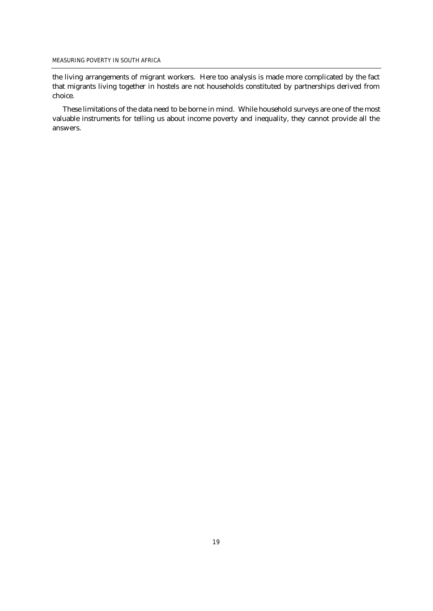the living arrangements of migrant workers. Here too analysis is made more complicated by the fact that migrants living together in hostels are not households constituted by partnerships derived from choice.

These limitations of the data need to be borne in mind. While household surveys are one of the most valuable instruments for telling us about income poverty and inequality, they cannot provide all the answers.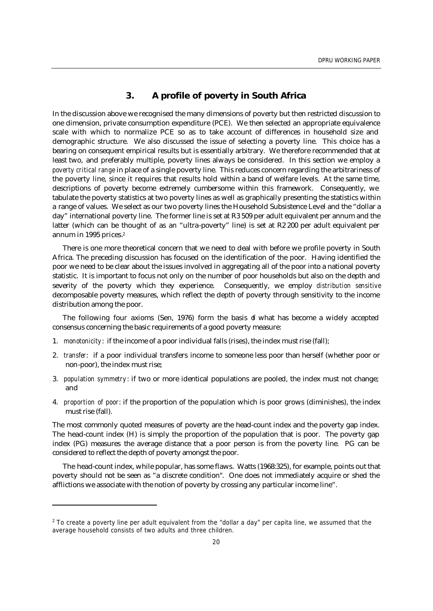# **3. A profile of poverty in South Africa**

In the discussion above we recognised the many dimensions of poverty but then restricted discussion to one dimension, private consumption expenditure (PCE). We then selected an appropriate equivalence scale with which to normalize PCE so as to take account of differences in household size and demographic structure. We also discussed the issue of selecting a poverty line. This choice has a bearing on consequent empirical results but is essentially arbitrary. We therefore recommended that at least two, and preferably multiple, poverty lines always be considered. In this section we employ a *poverty critical range* in place of a single poverty line. This reduces concern regarding the arbitrariness of the poverty line, since it requires that results hold within a band of welfare levels. At the same time, descriptions of poverty become extremely cumbersome within this framework. Consequently, we tabulate the poverty statistics at two poverty lines as well as graphically presenting the statistics within a range of values. We select as our two poverty lines the Household Subsistence Level and the "dollar a day" international poverty line. The former line is set at R3 509 per adult equivalent per annum and the latter (which can be thought of as an "ultra-poverty" line) is set at R2 200 per adult equivalent per annum in 1995 prices.<sup>2</sup>

There is one more theoretical concern that we need to deal with before we profile poverty in South Africa. The preceding discussion has focused on the identification of the poor. Having identified the poor we need to be clear about the issues involved in aggregating all of the poor into a national poverty statistic. It is important to focus not only on the number of poor households but also on the depth and severity of the poverty which they experience. Consequently, we employ *distribution sensitive* decomposable poverty measures, which reflect the depth of poverty through sensitivity to the income distribution among the poor.

The following four axioms (Sen, 1976) form the basis of what has become a widely accepted consensus concerning the basic requirements of a good poverty measure:

- 1. *monotonicity*: if the income of a poor individual falls (rises), the index must rise (fall);
- 2. *transfer*: if a poor individual transfers income to someone less poor than herself (whether poor or non-poor), the index must rise;
- 3. *population symmetry*: if two or more identical populations are pooled, the index must not change; and
- 4. *proportion of poor*: if the proportion of the population which is poor grows (diminishes), the index must rise (fall).

The most commonly quoted measures of poverty are the head-count index and the poverty gap index. The head-count index (H) is simply the proportion of the population that is poor. The poverty gap index (PG) measures the average distance that a poor person is from the poverty line. PG can be considered to reflect the depth of poverty amongst the poor.

The head-count index, while popular, has some flaws. Watts (1968:325), for example, points out that poverty should not be seen as "a discrete condition". One does not immediately acquire or shed the afflictions we associate with the notion of poverty by crossing any particular income line".

j

<sup>&</sup>lt;sup>2</sup> To create a poverty line per adult equivalent from the "dollar a day" per capita line, we assumed that the average household consists of two adults and three children.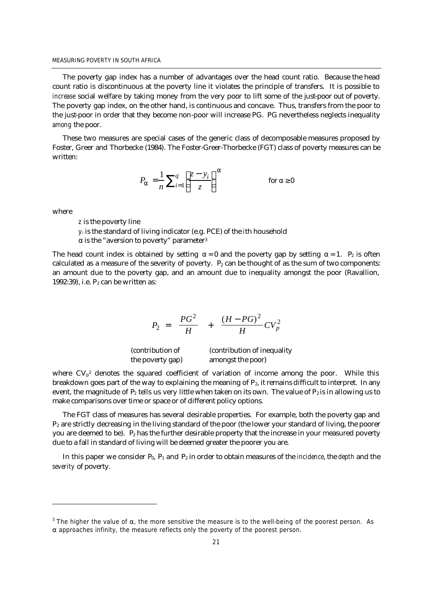#### MEASURING POVERTY IN SOUTH AFRICA

The poverty gap index has a number of advantages over the head count ratio. Because the head count ratio is discontinuous at the poverty line it violates the principle of transfers. It is possible to *increase* social welfare by taking money from the very poor to lift some of the just-poor out of poverty. The poverty gap index, on the other hand, is continuous and concave. Thus, transfers from the poor to the just-poor in order that they become non-poor will increase PG. PG nevertheless neglects inequality *among* the poor.

These two measures are special cases of the generic class of decomposable measures proposed by Foster, Greer and Thorbecke (1984). The Foster-Greer-Thorbecke (FGT) class of poverty measures can be written:

$$
P_{a} = \frac{1}{n} \sum_{i=1}^{q} \left[ \frac{z - y_{i}}{z} \right]^{a} \quad \text{for } \alpha \ge 0
$$

where

j

*z* is the poverty line *yi* is the standard of living indicator (e.g. PCE) of the *i*th household  $\alpha$  is the "aversion to poverty" parameter<sup>3</sup>

The head count index is obtained by setting  $\alpha = 0$  and the poverty gap by setting  $\alpha = 1$ . P<sub>2</sub> is often calculated as a measure of the severity of poverty.  $P_2$  can be thought of as the sum of two components: an amount due to the poverty gap, and an amount due to inequality amongst the poor (Ravallion, 1992:39), i.e.  $P_2$  can be written as:

$$
P_2 = \frac{PG^2}{H} + \frac{(H - PG)^2}{H}CV_p^2
$$

| (contribution of | (contribution of inequality |
|------------------|-----------------------------|
| the poverty gap) | amongst the poor)           |

where  $CV_{p}^{2}$  denotes the squared coefficient of variation of income among the poor. While this breakdown goes part of the way to explaining the meaning of  $P_2$ , it remains difficult to interpret. In any event, the magnitude of  $P_2$  tells us very little when taken on its own. The value of  $P_2$  is in allowing us to make comparisons over time or space or of different policy options.

The FGT class of measures has several desirable properties. For example, both the poverty gap and P2 are strictly decreasing in the living standard of the poor (the lower your standard of living, the poorer you are deemed to be).  $P_2$  has the further desirable property that the increase in your measured poverty due to a fall in standard of living will be deemed greater the poorer you are.

In this paper we consider P<sub>0</sub>, P<sub>1</sub> and P<sub>2</sub> in order to obtain measures of the *incidence*, the *depth* and the *severity* of poverty.

<sup>&</sup>lt;sup>3</sup> The higher the value of  $\alpha$ , the more sensitive the measure is to the well-being of the poorest person. As α approaches infinity, the measure reflects only the poverty of the poorest person.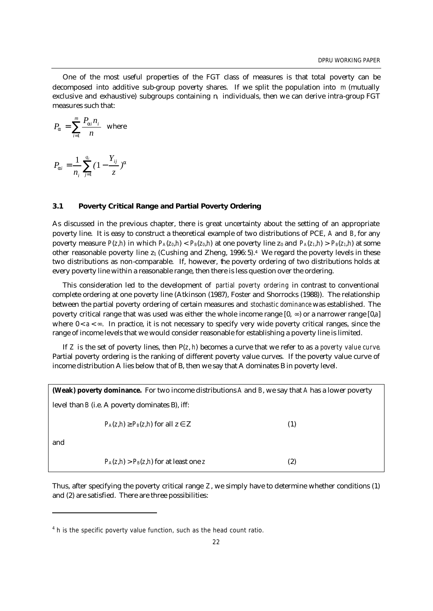One of the most useful properties of the FGT class of measures is that total poverty can be decomposed into additive sub-group poverty shares. If we split the population into *m* (mutually exclusive and exhaustive) subgroups containing  $n_i$  individuals, then we can derive intra-group FGT measures such that:

$$
P_a = \sum_{i=1}^{m} \frac{P_{ai} n_i}{n}
$$
 where

*a*  $P_{ai} = \frac{1}{2} \sum (1 - \frac{y}{y})$ *z Y ( n P qi j ij*  $\sum_{i}$  =  $\frac{1}{n_i} \sum_{j=1}^{n} (1 -$ 1  $\frac{1}{2} \sum_{i=1}^{q_i} (1$ 

# **3.1 Poverty Critical Range and Partial Poverty Ordering**

As discussed in the previous chapter, there is great uncertainty about the setting of an appropriate poverty line. It is easy to construct a theoretical example of two distributions of PCE, *A* and *B*, for any poverty measure  $P(z,h)$  in which  $P_A(z_0,h) < P_B(z_0,h)$  at one poverty line  $z_0$  and  $P_A(z_1,h) > P_B(z_1,h)$  at some other reasonable poverty line  $z_1$  (Cushing and Zheng, 1996: 5).<sup>4</sup> We regard the poverty levels in these two distributions as non-comparable. If, however, the poverty ordering of two distributions holds at every poverty line within a reasonable range, then there is less question over the ordering.

This consideration led to the development of *partial poverty ordering* in contrast to conventional complete ordering at one poverty line (Atkinson (1987), Foster and Shorrocks (1988)). The relationship between the partial poverty ordering of certain measures and *stochastic dominance* was established. The poverty critical range that was used was either the whole income range  $[0, \infty)$  or a narrower range  $[0,a]$ where  $0 < a < \infty$ . In practice, it is not necessary to specify very wide poverty critical ranges, since the range of income levels that we would consider reasonable for establishing a poverty line is limited.

If *Z* is the set of poverty lines, then P(*z*, *h*) becomes a curve that we refer to as a *poverty value curve*. Partial poverty ordering is the ranking of different poverty value curves. If the poverty value curve of income distribution A lies below that of B, then we say that A dominates B in poverty level.

**(Weak) poverty dominance.** For two income distributions *A* and *B*, we say that *A* has a lower poverty

level than *B* (i.e. A poverty dominates B), iff:

$$
P_A(z,h) \ge P_B(z,h) \text{ for all } z \in \mathbb{Z}
$$
 (1)

and

j

 $P_A(z,h) > P_B(z,h)$  for at least one *z* (2)

Thus, after specifying the poverty critical range *Z*, we simply have to determine whether conditions (1) and (2) are satisfied. There are three possibilities:

<sup>4</sup> *h* is the specific poverty value function, such as the head count ratio.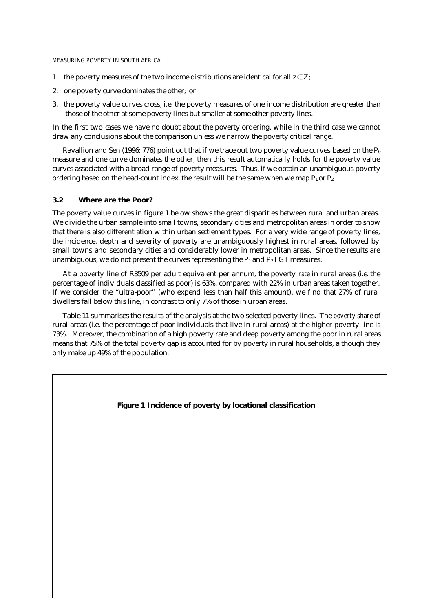- 1. the poverty measures of the two income distributions are identical for all  $z \in Z$ ;
- 2. one poverty curve dominates the other; or
- 3. the poverty value curves cross, i.e. the poverty measures of one income distribution are greater than those of the other at some poverty lines but smaller at some other poverty lines.

In the first two cases we have no doubt about the poverty ordering, while in the third case we cannot draw any conclusions about the comparison unless we narrow the poverty critical range.

Ravallion and Sen (1996: 776) point out that if we trace out two poverty value curves based on the  $P_0$ measure and one curve dominates the other, then this result automatically holds for the poverty value curves associated with a broad range of poverty measures. Thus, if we obtain an unambiguous poverty ordering based on the head-count index, the result will be the same when we map  $P_1$  or  $P_2$ .

#### **3.2 Where are the Poor?**

The poverty value curves in figure 1 below shows the great disparities between rural and urban areas. We divide the urban sample into small towns, secondary cities and metropolitan areas in order to show that there is also differentiation within urban settlement types. For a very wide range of poverty lines, the incidence, depth and severity of poverty are unambiguously highest in rural areas, followed by small towns and secondary cities and considerably lower in metropolitan areas. Since the results are unambiguous, we do not present the curves representing the  $P_1$  and  $P_2$  FGT measures.

At a poverty line of R3509 per adult equivalent per annum, the poverty *rate* in rural areas (i.e. the percentage of individuals classified as poor) is 63%, compared with 22% in urban areas taken together. If we consider the "ultra-poor" (who expend less than half this amount), we find that 27% of rural dwellers fall below this line, in contrast to only 7% of those in urban areas.

Table 11 summarises the results of the analysis at the two selected poverty lines. The *poverty share* of rural areas (i.e. the percentage of poor individuals that live in rural areas) at the higher poverty line is 73%. Moreover, the combination of a high poverty rate and deep poverty among the poor in rural areas means that 75% of the total poverty gap is accounted for by poverty in rural households, although they only make up 49% of the population.

**Figure 1 Incidence of poverty by locational classification**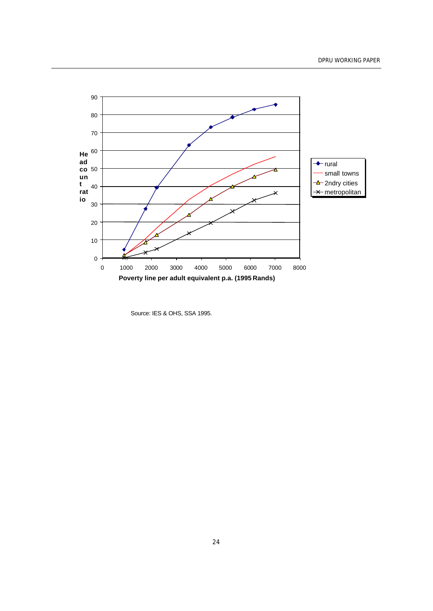

Source: IES & OHS, SSA 1995.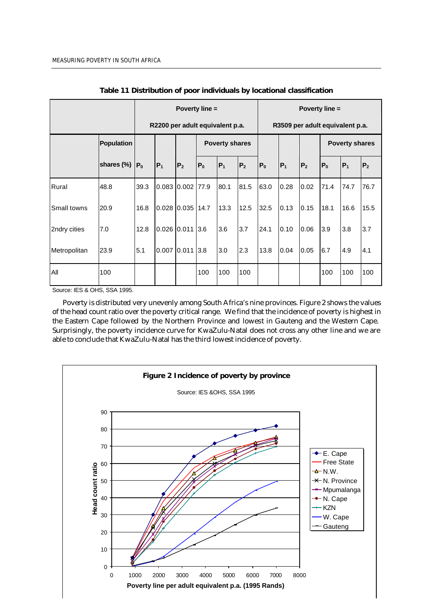|                                 |            | Poverty line = |             |                    |                       |                                 |                | Poverty line = |       |                |                       |       |         |
|---------------------------------|------------|----------------|-------------|--------------------|-----------------------|---------------------------------|----------------|----------------|-------|----------------|-----------------------|-------|---------|
| R2200 per adult equivalent p.a. |            |                |             |                    |                       | R3509 per adult equivalent p.a. |                |                |       |                |                       |       |         |
|                                 | Population |                |             |                    | <b>Poverty shares</b> |                                 |                |                |       |                | <b>Poverty shares</b> |       |         |
|                                 | shares (%) | $ P_0 $        | $P_1$       | P <sub>2</sub>     | $P_0$                 | $P_1$                           | P <sub>2</sub> | $ P_0 $        | $P_1$ | P <sub>2</sub> | $ P_0 $               | $P_1$ | $ P_2 $ |
| Rural                           | 48.8       | 39.3           |             | $0.083$ 0.002 77.9 |                       | 80.1                            | 81.5           | 63.0           | 0.28  | 0.02           | 71.4                  | 74.7  | 76.7    |
| Small towns                     | 20.9       | 16.8           |             | $0.028$ 0.035      | 14.7                  | 13.3                            | 12.5           | 32.5           | 0.13  | 0.15           | 18.1                  | 16.6  | 15.5    |
| 2ndry cities                    | 7.0        | 12.8           | 0.026 0.011 |                    | 3.6                   | 3.6                             | 3.7            | 24.1           | 0.10  | 0.06           | 3.9                   | 3.8   | 3.7     |
| Metropolitan                    | 23.9       | 5.1            |             | $0.007$ 0.011      | 3.8                   | 3.0                             | 2.3            | 13.8           | 0.04  | 0.05           | 6.7                   | 4.9   | 4.1     |
| All                             | 100        |                |             |                    | 100                   | 100                             | 100            |                |       |                | 100                   | 100   | 100     |

**Table 11 Distribution of poor individuals by locational classification**

Source: IES & OHS, SSA 1995.

Poverty is distributed very unevenly among South Africa's nine provinces. Figure 2 shows the values of the head count ratio over the poverty critical range. We find that the incidence of poverty is highest in the Eastern Cape followed by the Northern Province and lowest in Gauteng and the Western Cape. Surprisingly, the poverty incidence curve for KwaZulu-Natal does not cross any other line and we are able to conclude that KwaZulu-Natal has the third lowest incidence of poverty.

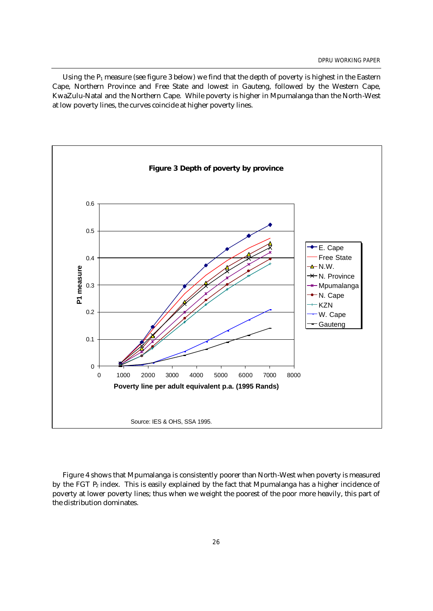Using the P<sub>1</sub> measure (see figure 3 below) we find that the depth of poverty is highest in the Eastern Cape, Northern Province and Free State and lowest in Gauteng, followed by the Western Cape, KwaZulu-Natal and the Northern Cape. While poverty is higher in Mpumalanga than the North-West at low poverty lines, the curves coincide at higher poverty lines.



Figure 4 shows that Mpumalanga is consistently poorer than North-West when poverty is measured by the FGT P<sub>2</sub> index. This is easily explained by the fact that Mpumalanga has a higher incidence of poverty at lower poverty lines; thus when we weight the poorest of the poor more heavily, this part of the distribution dominates.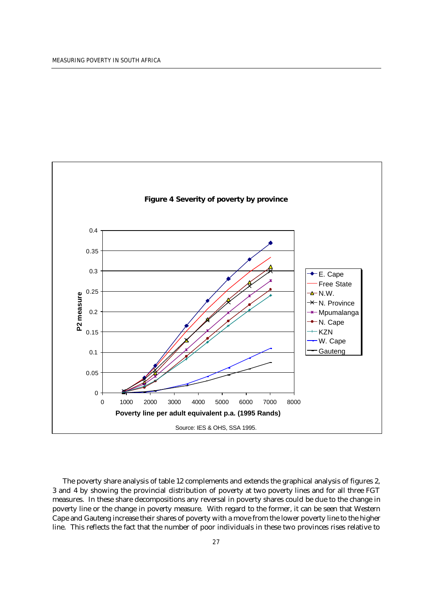

The poverty share analysis of table 12 complements and extends the graphical analysis of figures 2, 3 and 4 by showing the provincial distribution of poverty at two poverty lines and for all three FGT measures. In these share decompositions any reversal in poverty shares could be due to the change in poverty line or the change in poverty measure. With regard to the former, it can be seen that Western Cape and Gauteng increase their shares of poverty with a move from the lower poverty line to the higher line. This reflects the fact that the number of poor individuals in these two provinces rises relative to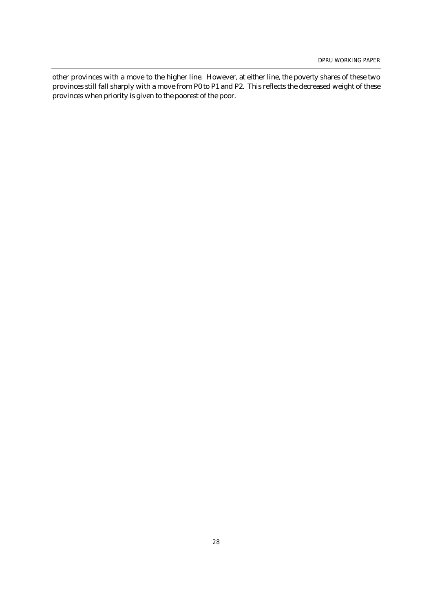other provinces with a move to the higher line. However, at either line, the poverty shares of these two provinces still fall sharply with a move from P0 to P1 and P2. This reflects the decreased weight of these provinces when priority is given to the poorest of the poor.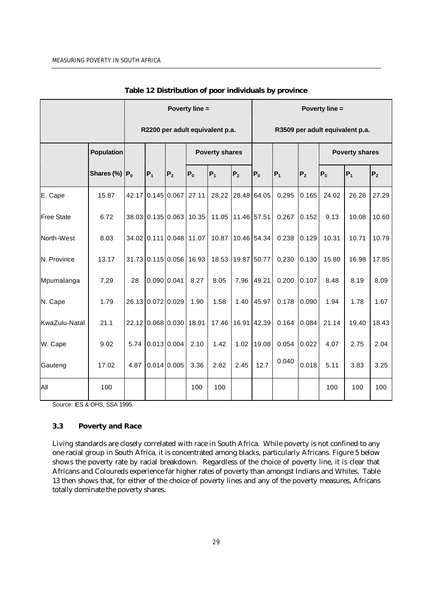|                   |                    | Poverty line =                  |       |                         |                         |                       | Poverty line = |                                 |       |                |       |                       |                |
|-------------------|--------------------|---------------------------------|-------|-------------------------|-------------------------|-----------------------|----------------|---------------------------------|-------|----------------|-------|-----------------------|----------------|
|                   |                    | R2200 per adult equivalent p.a. |       |                         |                         |                       |                | R3509 per adult equivalent p.a. |       |                |       |                       |                |
|                   | <b>Population</b>  |                                 |       |                         |                         | <b>Poverty shares</b> |                |                                 |       |                |       | <b>Poverty shares</b> |                |
|                   | Shares (%) $ P_0 $ |                                 | $P_1$ | P <sub>2</sub>          | $P_0$                   | $P_1$                 | P <sub>2</sub> | $ P_0 $                         | $P_1$ | P <sub>2</sub> | $P_0$ | $P_1$                 | P <sub>2</sub> |
| E. Cape           | 15.87              |                                 |       | 42.17 0.145 0.067       | 27.11                   | 28.22                 |                | 28.48 64.05                     | 0.295 | 0.165          | 24.02 | 26.28                 | 27.29          |
| <b>Free State</b> | 6.72               |                                 |       |                         | 38.03 0.135 0.063 10.35 |                       |                | 11.05 11.46 57.51               | 0.267 | 0.152          | 9.13  | 10.08                 | 10.60          |
| North-West        | 8.03               |                                 |       | 34.02 0.111 0.048       | 11.07                   | 10.87                 |                | 10.46 54.34                     | 0.238 | 0.129          | 10.31 | 10.71                 | 10.79          |
| N. Province       | 13.17              |                                 |       |                         | 31.73 0.115 0.056 16.93 | 18.53                 |                | 19.87 50.77                     | 0.230 | 0.130          | 15.80 | 16.98                 | 17.85          |
| Mpumalanga        | 7.29               | 28                              |       | $0.090$ 0.041           | 8.27                    | 8.05                  |                | 7.96 49.21                      | 0.200 | 0.107          | 8.48  | 8.19                  | 8.09           |
| N. Cape           | 1.79               |                                 |       | 26.13 0.072 0.029       | 1.90                    | 1.58                  |                | 1.40 45.97                      | 0.178 | 0.090          | 1.94  | 1.78                  | 1.67           |
| KwaZulu-Natal     | 21.1               |                                 |       | 22.12 0.068 0.030 18.91 |                         | 17.46                 |                | 16.91 42.39                     | 0.164 | 0.084          | 21.14 | 19.40                 | 18.43          |
| W. Cape           | 9.02               | 5.74                            |       | $0.013$ 0.004           | 2.10                    | 1.42                  | 1.02           | 19.08                           | 0.054 | 0.022          | 4.07  | 2.75                  | 2.04           |
| Gauteng           | 17.02              | 4.87                            |       | $0.014$ 0.005           | 3.36                    | 2.82                  | 2.45           | 12.7                            | 0.040 | 0.018          | 5.11  | 3.83                  | 3.25           |
| All               | 100                |                                 |       |                         | 100                     | 100                   |                |                                 |       |                | 100   | 100                   | 100            |

**Table 12 Distribution of poor individuals by province**

Source: IES & OHS, SSA 1995.

# **3.3 Poverty and Race**

Living standards are closely correlated with race in South Africa. While poverty is not confined to any one racial group in South Africa, it is concentrated among blacks, particularly Africans. Figure 5 below shows the poverty rate by racial breakdown. Regardless of the choice of poverty line, it is clear that Africans and Coloureds experience far higher rates of poverty than amongst Indians and Whites. Table 13 then shows that, for either of the choice of poverty lines and any of the poverty measures, Africans totally dominate the poverty shares.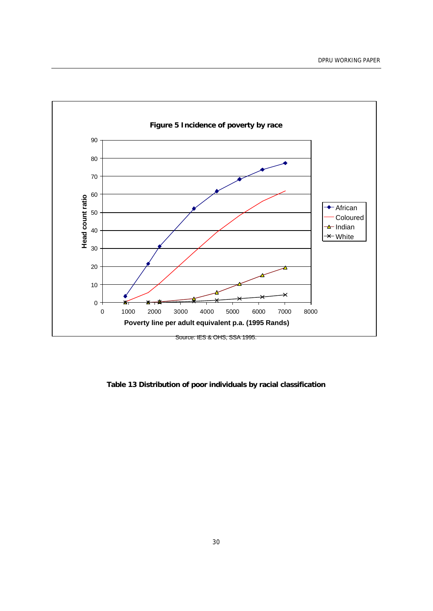

**Table 13 Distribution of poor individuals by racial classification**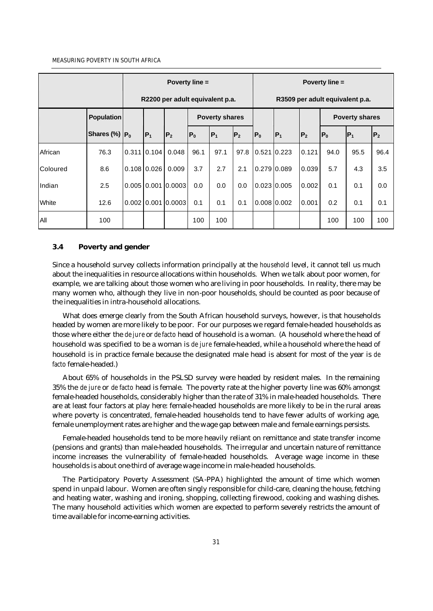#### MEASURING POVERTY IN SOUTH AFRICA

|                                 |                     |                 | Poverty line = |                |                                 | Poverty line = |                |               |               |                |       |                       |                |
|---------------------------------|---------------------|-----------------|----------------|----------------|---------------------------------|----------------|----------------|---------------|---------------|----------------|-------|-----------------------|----------------|
| R2200 per adult equivalent p.a. |                     |                 |                |                | R3509 per adult equivalent p.a. |                |                |               |               |                |       |                       |                |
|                                 | <b>Population</b>   |                 |                |                | <b>Poverty shares</b>           |                |                |               |               |                |       | <b>Poverty shares</b> |                |
|                                 | Shares $(\%)$ $P_0$ |                 | $P_1$          | P <sub>2</sub> | $P_0$                           | $P_1$          | P <sub>2</sub> | $P_0$         | $P_1$         | P <sub>2</sub> | $P_0$ | $ P_1 $               | P <sub>2</sub> |
| African                         | 76.3                |                 | $0.311$ 0.104  | 0.048          | 96.1                            | 97.1           | 97.8           | $0.521$ 0.223 |               | 0.121          | 94.0  | 95.5                  | 96.4           |
| Coloured                        | 8.6                 |                 | $0.108$ 0.026  | 0.009          | 3.7                             | 2.7            | 2.1            |               | 0.279 0.089   | 0.039          | 5.7   | 4.3                   | 3.5            |
| Indian                          | 2.5                 | $0.005$ 0.001   |                | 0.0003         | 0.0                             | 0.0            | 0.0            |               | $0.023$ 0.005 | 0.002          | 0.1   | 0.1                   | 0.0            |
| White                           | 12.6                | $0.002$ $0.001$ |                | 0.0003         | 0.1                             | 0.1            | 0.1            | $0.008$ 0.002 |               | 0.001          | 0.2   | 0.1                   | 0.1            |
| All                             | 100                 |                 |                |                | 100                             | 100            |                |               |               |                | 100   | 100                   | 100            |

#### **3.4 Poverty and gender**

Since a household survey collects information principally at the *household* level, it cannot tell us much about the inequalities in resource allocations within households. When we talk about poor women, for example, we are talking about those women who are living in poor households. In reality, there may be many women who, although they live in non-poor households, should be counted as poor because of the inequalities in intra-household allocations.

What does emerge clearly from the South African household surveys, however, is that households headed by women are more likely to be poor. For our purposes we regard female-headed households as those where either the *de jure* or *de facto* head of household is a woman. (A household where the head of household was specified to be a woman is *de jure* female-headed, while a household where the head of household is in practice female because the designated male head is absent for most of the year is *de facto* female-headed.)

About 65% of households in the PSLSD survey were headed by resident males. In the remaining 35% the *de jure* or *de facto* head is female. The poverty rate at the higher poverty line was 60% amongst female-headed households, considerably higher than the rate of 31% in male-headed households. There are at least four factors at play here: female-headed households are more likely to be in the rural areas where poverty is concentrated, female-headed households tend to have fewer adults of working age, female unemployment rates are higher and the wage gap between male and female earnings persists.

Female-headed households tend to be more heavily reliant on remittance and state transfer income (pensions and grants) than male-headed households. The irregular and uncertain nature of remittance income increases the vulnerability of female-headed households. Average wage income in these households is about one-third of average wage income in male-headed households.

The Participatory Poverty Assessment (SA-PPA) highlighted the amount of time which women spend in unpaid labour. Women are often singly responsible for child-care, cleaning the house, fetching and heating water, washing and ironing, shopping, collecting firewood, cooking and washing dishes. The many household activities which women are expected to perform severely restricts the amount of time available for income-earning activities.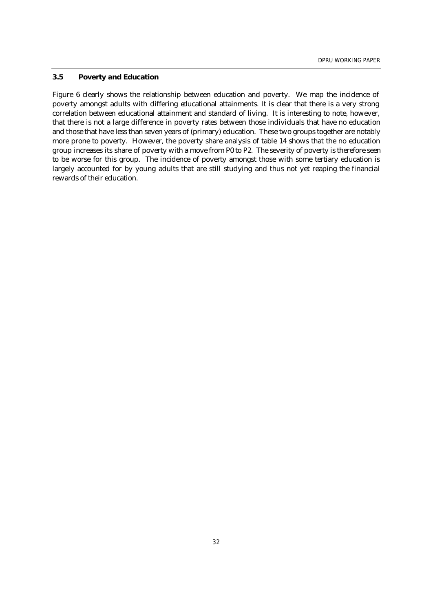# **3.5 Poverty and Education**

Figure 6 clearly shows the relationship between education and poverty. We map the incidence of poverty amongst adults with differing educational attainments. It is clear that there is a very strong correlation between educational attainment and standard of living. It is interesting to note, however, that there is not a large difference in poverty rates between those individuals that have no education and those that have less than seven years of (primary) education. These two groups together are notably more prone to poverty. However, the poverty share analysis of table 14 shows that the no education group increases its share of poverty with a move from P0 to P2. The severity of poverty is therefore seen to be worse for this group. The incidence of poverty amongst those with some tertiary education is largely accounted for by young adults that are still studying and thus not yet reaping the financial rewards of their education.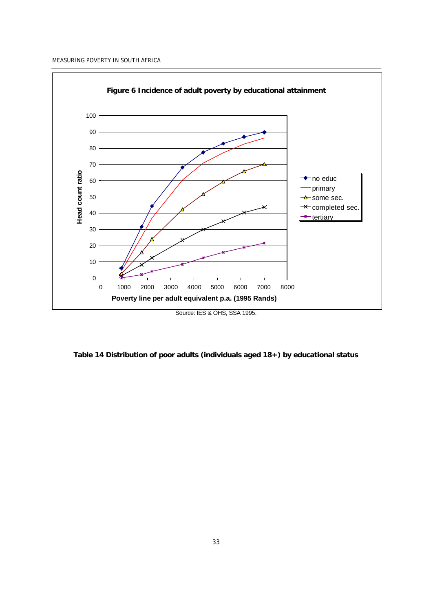

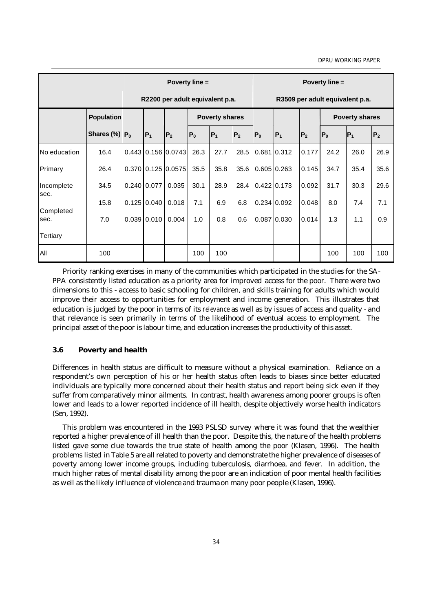DPRU WORKING PAPER

|                    |                                 | Poverty line = |               |                      |                       |                                 |                | Poverty line = |       |                       |       |       |                |
|--------------------|---------------------------------|----------------|---------------|----------------------|-----------------------|---------------------------------|----------------|----------------|-------|-----------------------|-------|-------|----------------|
|                    | R2200 per adult equivalent p.a. |                |               |                      |                       | R3509 per adult equivalent p.a. |                |                |       |                       |       |       |                |
|                    | <b>Population</b>               |                |               |                      | <b>Poverty shares</b> |                                 |                |                |       | <b>Poverty shares</b> |       |       |                |
|                    | Shares $(\%)$ $P_0$             |                | $P_1$         | P <sub>2</sub>       | $P_0$                 | $P_1$                           | P <sub>2</sub> | $P_0$          | $P_1$ | P <sub>2</sub>        | $P_0$ | $P_1$ | P <sub>2</sub> |
| No education       | 16.4                            |                |               | $0.443$ 0.156 0.0743 | 26.3                  | 27.7                            | 28.5           | 0.681 0.312    |       | 0.177                 | 24.2  | 26.0  | 26.9           |
| Primary            | 26.4                            |                |               | 0.370 0.125 0.0575   | 35.5                  | 35.8                            | 35.6           | $0.605$ 0.263  |       | 0.145                 | 34.7  | 35.4  | 35.6           |
| Incomplete<br>sec. | 34.5                            | 0.240 0.077    |               | 0.035                | 30.1                  | 28.9                            | 28.4           | 0.422 0.173    |       | 0.092                 | 31.7  | 30.3  | 29.6           |
| Completed          | 15.8                            |                | $0.125$ 0.040 | 0.018                | 7.1                   | 6.9                             | 6.8            | 0.234 0.092    |       | 0.048                 | 8.0   | 7.4   | 7.1            |
| sec.               | 7.0                             |                | $0.039$ 0.010 | 0.004                | 1.0                   | 0.8                             | 0.6            | 0.087 0.030    |       | 0.014                 | 1.3   | 1.1   | 0.9            |
| Tertiary           |                                 |                |               |                      |                       |                                 |                |                |       |                       |       |       |                |
| All                | 100                             |                |               |                      | 100                   | 100                             |                |                |       |                       | 100   | 100   | 100            |

Priority ranking exercises in many of the communities which participated in the studies for the SA-PPA consistently listed education as a priority area for improved access for the poor. There were two dimensions to this - access to basic schooling for children, and skills training for adults which would improve their access to opportunities for employment and income generation. This illustrates that education is judged by the poor in terms of its *relevance* as well as by issues of access and quality - and that relevance is seen primarily in terms of the likelihood of eventual access to employment. The principal asset of the poor is labour time, and education increases the productivity of this asset.

#### **3.6 Poverty and health**

Differences in health status are difficult to measure without a physical examination. Reliance on a respondent's own perception of his or her health status often leads to biases since better educated individuals are typically more concerned about their health status and report being sick even if they suffer from comparatively minor ailments. In contrast, health awareness among poorer groups is often lower and leads to a lower reported incidence of ill health, despite objectively worse health indicators (Sen, 1992).

This problem was encountered in the 1993 PSLSD survey where it was found that the wealthier reported a higher prevalence of ill health than the poor. Despite this, the nature of the health problems listed gave some clue towards the true state of health among the poor (Klasen, 1996). The health problems listed in Table 5 are all related to poverty and demonstrate the higher prevalence of diseases of poverty among lower income groups, including tuberculosis, diarrhoea, and fever. In addition, the much higher rates of mental disability among the poor are an indication of poor mental health facilities as well as the likely influence of violence and trauma on many poor people (Klasen, 1996).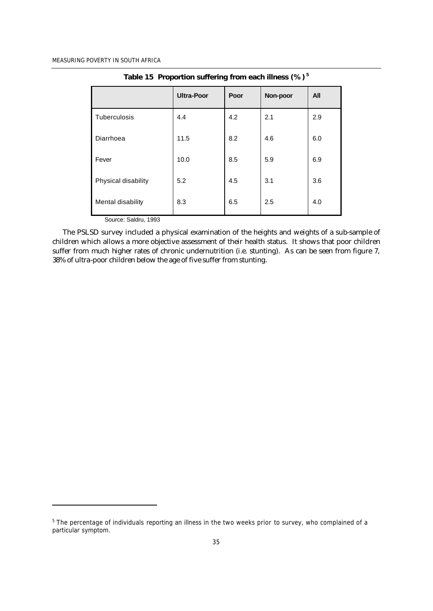|                     | $18.00 \div 10.000 \div 0.0000 \div 0.0000 \div 0.0000 \div 0.0000 \div 0.0000 \div 0.0000 \div 0.0000 \div 0.0000 \div 0.0000 \div 0.0000 \div 0.0000 \div 0.0000 \div 0.0000 \div 0.0000 \div 0.0000 \div 0.0000 \div 0.0000 \div 0.0000 \div 0.0000 \div 0.0000 \div 0.0000 \div 0.0000 \div 0.000$ |      |          |     |
|---------------------|--------------------------------------------------------------------------------------------------------------------------------------------------------------------------------------------------------------------------------------------------------------------------------------------------------|------|----------|-----|
|                     | <b>Ultra-Poor</b>                                                                                                                                                                                                                                                                                      | Poor | Non-poor | All |
| <b>Tuberculosis</b> | 4.4                                                                                                                                                                                                                                                                                                    | 4.2  | 2.1      | 2.9 |
| Diarrhoea           | 11.5                                                                                                                                                                                                                                                                                                   | 8.2  | 4.6      | 6.0 |
| Fever               | 10.0                                                                                                                                                                                                                                                                                                   | 8.5  | 5.9      | 6.9 |
| Physical disability | 5.2                                                                                                                                                                                                                                                                                                    | 4.5  | 3.1      | 3.6 |
| Mental disability   | 8.3                                                                                                                                                                                                                                                                                                    | 6.5  | 2.5      | 4.0 |

**Table 15 Proportion suffering from each illness (%) <sup>5</sup>**

Source: Saldru, 1993

j

The PSLSD survey included a physical examination of the heights and weights of a sub-sample of children which allows a more objective assessment of their health status. It shows that poor children suffer from much higher rates of chronic undernutrition (i.e. stunting). As can be seen from figure 7, 38% of ultra-poor children below the age of five suffer from stunting.

<sup>5</sup> The percentage of individuals *reporting an illness* in the two weeks prior to survey, who complained of a particular symptom.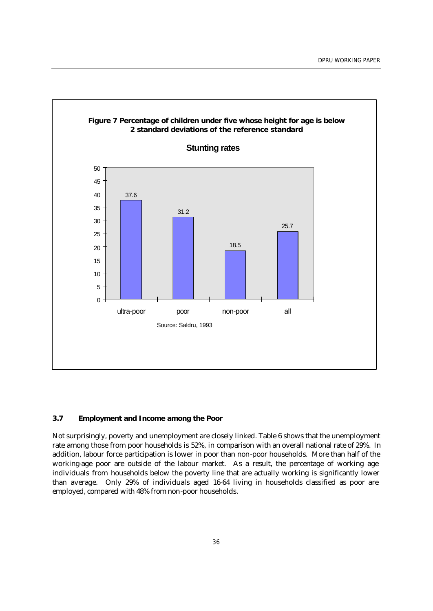

# **3.7 Employment and Income among the Poor**

Not surprisingly, poverty and unemployment are closely linked. Table 6 shows that the unemployment rate among those from poor households is 52%, in comparison with an overall national rate of 29%. In addition, labour force participation is lower in poor than non-poor households. More than half of the working-age poor are outside of the labour market. As a result, the percentage of working age individuals from households below the poverty line that are actually working is significantly lower than average. Only 29% of individuals aged 16-64 living in households classified as poor are employed, compared with 48% from non-poor households.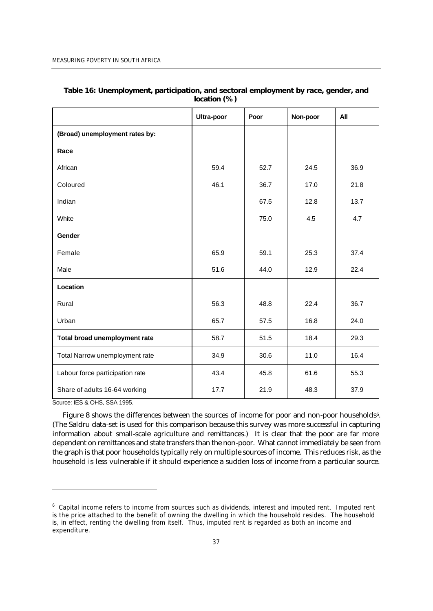|                                 | Ultra-poor | Poor | Non-poor | All  |
|---------------------------------|------------|------|----------|------|
| (Broad) unemployment rates by:  |            |      |          |      |
| Race                            |            |      |          |      |
| African                         | 59.4       | 52.7 | 24.5     | 36.9 |
| Coloured                        | 46.1       | 36.7 | 17.0     | 21.8 |
| Indian                          |            | 67.5 | 12.8     | 13.7 |
| White                           |            | 75.0 | 4.5      | 4.7  |
| Gender                          |            |      |          |      |
| Female                          | 65.9       | 59.1 | 25.3     | 37.4 |
| Male                            | 51.6       | 44.0 | 12.9     | 22.4 |
| Location                        |            |      |          |      |
| Rural                           | 56.3       | 48.8 | 22.4     | 36.7 |
| Urban                           | 65.7       | 57.5 | 16.8     | 24.0 |
| Total broad unemployment rate   | 58.7       | 51.5 | 18.4     | 29.3 |
| Total Narrow unemployment rate  | 34.9       | 30.6 | 11.0     | 16.4 |
| Labour force participation rate | 43.4       | 45.8 | 61.6     | 55.3 |
| Share of adults 16-64 working   | 17.7       | 21.9 | 48.3     | 37.9 |

## **Table 16: Unemployment, participation, and sectoral employment by race, gender, and location (%)**

Source: IES & OHS, SSA 1995.

j

Figure 8 shows the differences between the sources of income for poor and non-poor households<sup>6</sup>. (The Saldru data-set is used for this comparison because this survey was more successful in capturing information about small-scale agriculture and remittances.) It is clear that the poor are far more dependent on remittances and state transfers than the non-poor. What cannot immediately be seen from the graph is that poor households typically rely on multiple sources of income. This reduces risk, as the household is less vulnerable if it should experience a sudden loss of income from a particular source.

<sup>&</sup>lt;sup>6</sup> Capital income refers to income from sources such as dividends, interest and imputed rent. Imputed rent is the price attached to the benefit of owning the dwelling in which the household resides. The household is, in effect, renting the dwelling from itself. Thus, imputed rent is regarded as both an income and expenditure.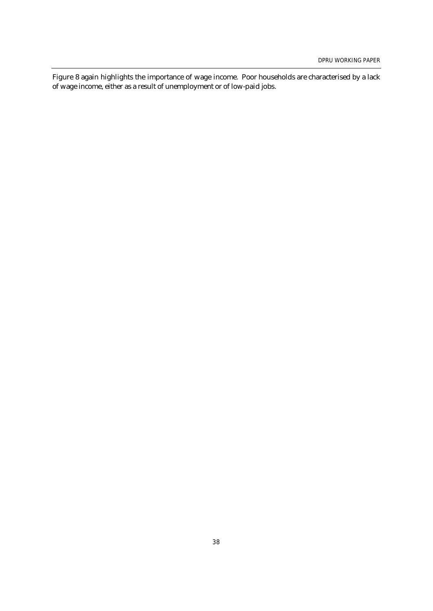Figure 8 again highlights the importance of wage income. Poor households are characterised by a lack of wage income, either as a result of unemployment or of low-paid jobs.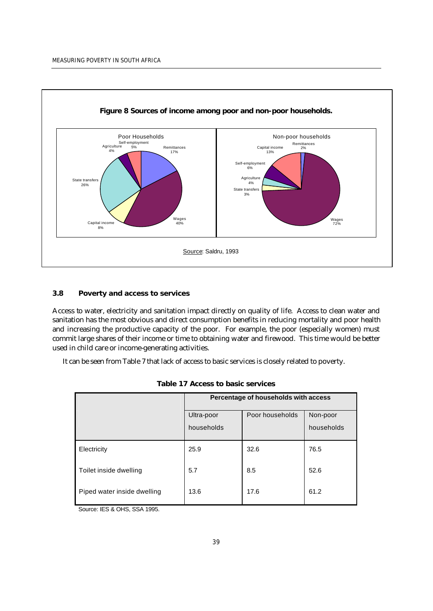

# **3.8 Poverty and access to services**

Access to water, electricity and sanitation impact directly on quality of life. Access to clean water and sanitation has the most obvious and direct consumption benefits in reducing mortality and poor health and increasing the productive capacity of the poor. For example, the poor (especially women) must commit large shares of their income or time to obtaining water and firewood. This time would be better used in child care or income-generating activities.

It can be seen from Table 7 that lack of access to basic services is closely related to poverty.

|                             | Percentage of households with access |                 |                        |  |  |  |  |  |
|-----------------------------|--------------------------------------|-----------------|------------------------|--|--|--|--|--|
|                             | Ultra-poor<br>households             | Poor households | Non-poor<br>households |  |  |  |  |  |
|                             |                                      |                 |                        |  |  |  |  |  |
| Electricity                 | 25.9                                 | 32.6            | 76.5                   |  |  |  |  |  |
| Toilet inside dwelling      | 5.7                                  | 8.5             | 52.6                   |  |  |  |  |  |
| Piped water inside dwelling | 13.6                                 | 17.6            | 61.2                   |  |  |  |  |  |

**Table 17 Access to basic services**

Source: IES & OHS, SSA 1995.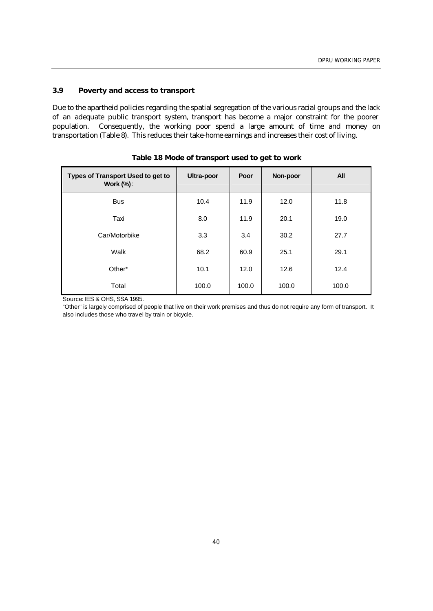# **3.9 Poverty and access to transport**

Due to the apartheid policies regarding the spatial segregation of the various racial groups and the lack of an adequate public transport system, transport has become a major constraint for the poorer population. Consequently, the working poor spend a large amount of time and money on transportation (Table 8). This reduces their take-home earnings and increases their cost of living.

| Types of Transport Used to get to<br><b>Work (%):</b> | Ultra-poor | Poor  | Non-poor | All   |  |
|-------------------------------------------------------|------------|-------|----------|-------|--|
| <b>Bus</b>                                            | 10.4       | 11.9  | 12.0     | 11.8  |  |
| Taxi                                                  | 8.0        | 11.9  | 20.1     | 19.0  |  |
| Car/Motorbike                                         | 3.3        | 3.4   | 30.2     | 27.7  |  |
| Walk                                                  | 68.2       | 60.9  | 25.1     | 29.1  |  |
| Other*                                                | 10.1       | 12.0  | 12.6     | 12.4  |  |
| Total                                                 | 100.0      | 100.0 | 100.0    | 100.0 |  |

|  |  |  |  | Table 18 Mode of transport used to get to work |  |  |  |  |  |
|--|--|--|--|------------------------------------------------|--|--|--|--|--|
|--|--|--|--|------------------------------------------------|--|--|--|--|--|

Source: IES & OHS, SSA 1995.

"Other" is largely comprised of people that live on their work premises and thus do not require any form of transport. It also includes those who travel by train or bicycle.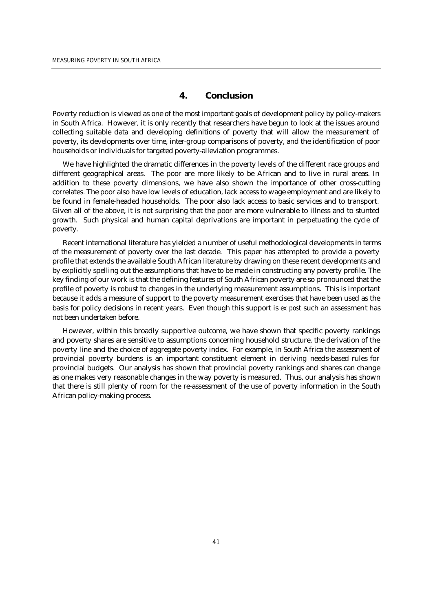# **4. Conclusion**

Poverty reduction is viewed as one of the most important goals of development policy by policy-makers in South Africa. However, it is only recently that researchers have begun to look at the issues around collecting suitable data and developing definitions of poverty that will allow the measurement of poverty, its developments over time, inter-group comparisons of poverty, and the identification of poor households or individuals for targeted poverty-alleviation programmes.

We have highlighted the dramatic differences in the poverty levels of the different race groups and different geographical areas. The poor are more likely to be African and to live in rural areas. In addition to these poverty dimensions, we have also shown the importance of other cross-cutting correlates. The poor also have low levels of education, lack access to wage employment and are likely to be found in female-headed households. The poor also lack access to basic services and to transport. Given all of the above, it is not surprising that the poor are more vulnerable to illness and to stunted growth. Such physical and human capital deprivations are important in perpetuating the cycle of poverty.

Recent international literature has yielded a number of useful methodological developments in terms of the measurement of poverty over the last decade. This paper has attempted to provide a poverty profile that extends the available South African literature by drawing on these recent developments and by explicitly spelling out the assumptions that have to be made in constructing any poverty profile. The key finding of our work is that the defining features of South African poverty are so pronounced that the profile of poverty is robust to changes in the underlying measurement assumptions. This is important because it adds a measure of support to the poverty measurement exercises that have been used as the basis for policy decisions in recent years. Even though this support is *ex post* such an assessment has not been undertaken before.

However, within this broadly supportive outcome, we have shown that specific poverty rankings and poverty shares are sensitive to assumptions concerning household structure, the derivation of the poverty line and the choice of aggregate poverty index. For example, in South Africa the assessment of provincial poverty burdens is an important constituent element in deriving needs-based rules for provincial budgets. Our analysis has shown that provincial poverty rankings and shares can change as one makes very reasonable changes in the way poverty is measured. Thus, our analysis has shown that there is still plenty of room for the re-assessment of the use of poverty information in the South African policy-making process.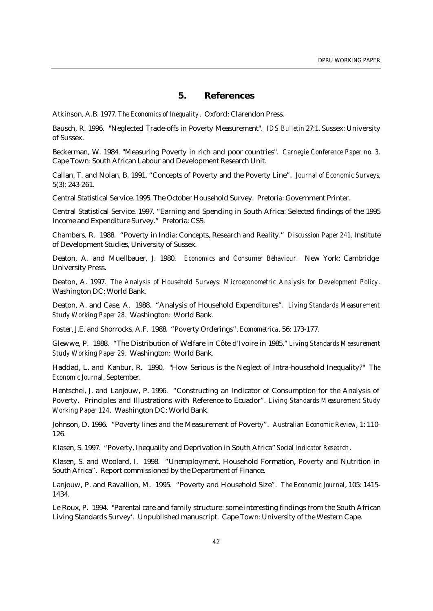# **5. References**

Atkinson, A.B. 1977. *The Economics of Inequality*. Oxford: Clarendon Press.

Bausch, R. 1996. "Neglected Trade-offs in Poverty Measurement". *IDS Bulletin* 27:1. Sussex: University of Sussex.

Beckerman, W. 1984. "Measuring Poverty in rich and poor countries". *Carnegie Conference Paper no. 3*. Cape Town: South African Labour and Development Research Unit.

Callan, T. and Nolan, B. 1991. "Concepts of Poverty and the Poverty Line". *Journal of Economic Surveys*, 5(3): 243-261.

Central Statistical Service. 1995. The October Household Survey. Pretoria: Government Printer.

Central Statistical Service. 1997. "Earning and Spending in South Africa: Selected findings of the 1995 Income and Expenditure Survey." Pretoria: CSS.

Chambers, R. 1988. "Poverty in India: Concepts, Research and Reality." *Discussion Paper 241*, Institute of Development Studies, University of Sussex.

Deaton, A. and Muellbauer, J. 1980. *Economics and Consumer Behaviour.* New York: Cambridge University Press.

Deaton, A. 1997. *The Analysis of Household Surveys: Microeconometric Analysis for Development Policy*. Washington DC: World Bank.

Deaton, A. and Case, A. 1988. "Analysis of Household Expenditures". *Living Standards Measurement Study Working Paper 28*. Washington: World Bank.

Foster, J.E. and Shorrocks, A.F. 1988. "Poverty Orderings". *Econometrica*, 56: 173-177.

Glewwe, P. 1988. "The Distribution of Welfare in Côte d'Ivoire in 1985." *Living Standards Measurement Study Working Paper 29*. Washington: World Bank.

Haddad, L. and Kanbur, R. 1990. "How Serious is the Neglect of Intra-household Inequality?" *The Economic Journal*, September.

Hentschel, J. and Lanjouw, P. 1996. "Constructing an Indicator of Consumption for the Analysis of Poverty. Principles and Illustrations with Reference to Ecuador". *Living Standards Measurement Study Working Paper 124*. Washington DC: World Bank.

Johnson, D. 1996. "Poverty lines and the Measurement of Poverty". *Australian Economic Review,* 1: 110- 126.

Klasen, S. 1997. "Poverty, Inequality and Deprivation in South Africa" *Social Indicator Research*.

Klasen, S. and Woolard, I. 1998. "Unemployment, Household Formation, Poverty and Nutrition in South Africa". Report commissioned by the Department of Finance.

Lanjouw, P. and Ravallion, M. 1995. "Poverty and Household Size". *The Economic Journal*, 105: 1415- 1434.

Le Roux, P. 1994. "Parental care and family structure: some interesting findings from the South African Living Standards Survey'. Unpublished manuscript. Cape Town: University of the Western Cape.